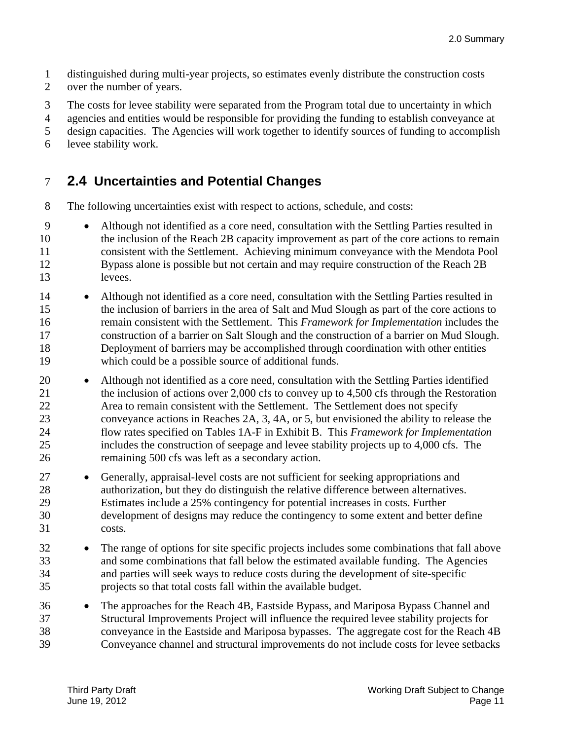1 distinguished during multi-year projects, so estimates evenly distribute the construction costs

- 2 over the number of years.
- 3 The costs for levee stability were separated from the Program total due to uncertainty in which

4 agencies and entities would be responsible for providing the funding to establish conveyance at

5 design capacities. The Agencies will work together to identify sources of funding to accomplish

6 levee stability work.

### 7 **2.4 Uncertainties and Potential Changes**

8 The following uncertainties exist with respect to actions, schedule, and costs:

- 9 Although not identified as a core need, consultation with the Settling Parties resulted in 10 the inclusion of the Reach 2B capacity improvement as part of the core actions to remain 11 consistent with the Settlement. Achieving minimum conveyance with the Mendota Pool 12 Bypass alone is possible but not certain and may require construction of the Reach 2B 13 levees.
- 14 Although not identified as a core need, consultation with the Settling Parties resulted in 15 the inclusion of barriers in the area of Salt and Mud Slough as part of the core actions to 16 remain consistent with the Settlement. This *Framework for Implementation* includes the 17 construction of a barrier on Salt Slough and the construction of a barrier on Mud Slough. 18 Deployment of barriers may be accomplished through coordination with other entities 19 which could be a possible source of additional funds.
- 20 Although not identified as a core need, consultation with the Settling Parties identified 21 the inclusion of actions over 2,000 cfs to convey up to 4,500 cfs through the Restoration 22 Area to remain consistent with the Settlement. The Settlement does not specify 23 conveyance actions in Reaches 2A, 3, 4A, or 5, but envisioned the ability to release the 24 flow rates specified on Tables 1A-F in Exhibit B. This *Framework for Implementation*  25 includes the construction of seepage and levee stability projects up to 4,000 cfs. The 26 remaining 500 cfs was left as a secondary action.
- 27 **Generally, appraisal-level costs are not sufficient for seeking appropriations and** 28 authorization, but they do distinguish the relative difference between alternatives. 29 Estimates include a 25% contingency for potential increases in costs. Further 30 development of designs may reduce the contingency to some extent and better define 31 costs.
- 32 The range of options for site specific projects includes some combinations that fall above 33 and some combinations that fall below the estimated available funding. The Agencies 34 and parties will seek ways to reduce costs during the development of site-specific 35 projects so that total costs fall within the available budget.
- 36 The approaches for the Reach 4B, Eastside Bypass, and Mariposa Bypass Channel and 37 Structural Improvements Project will influence the required levee stability projects for 38 conveyance in the Eastside and Mariposa bypasses. The aggregate cost for the Reach 4B 39 Conveyance channel and structural improvements do not include costs for levee setbacks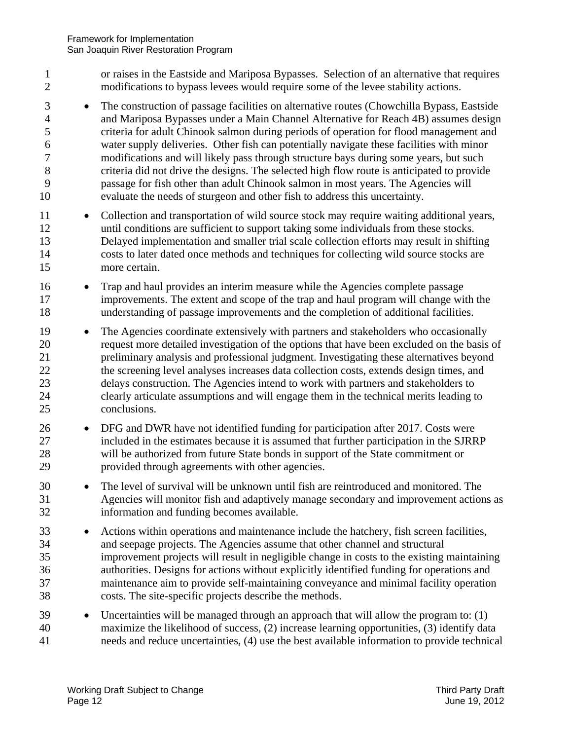- 1 or raises in the Eastside and Mariposa Bypasses. Selection of an alternative that requires 2 modifications to bypass levees would require some of the levee stability actions.
- 5 10 <sup>3</sup> The construction of passage facilities on alternative routes (Chowchilla Bypass, Eastside 4 and Mariposa Bypasses under a Main Channel Alternative for Reach 4B) assumes design criteria for adult Chinook salmon during periods of operation for flood management and 6 water supply deliveries. Other fish can potentially navigate these facilities with minor 7 modifications and will likely pass through structure bays during some years, but such 8 criteria did not drive the designs. The selected high flow route is anticipated to provide 9 passage for fish other than adult Chinook salmon in most years. The Agencies will evaluate the needs of sturgeon and other fish to address this uncertainty.
- 15 11 • Collection and transportation of wild source stock may require waiting additional years, 12 until conditions are sufficient to support taking some individuals from these stocks. 13 Delayed implementation and smaller trial scale collection efforts may result in shifting 14 costs to later dated once methods and techniques for collecting wild source stocks are more certain.
- 16 Trap and haul provides an interim measure while the Agencies complete passage 17 improvements. The extent and scope of the trap and haul program will change with the 18 understanding of passage improvements and the completion of additional facilities.
- 20 25 19 • The Agencies coordinate extensively with partners and stakeholders who occasionally request more detailed investigation of the options that have been excluded on the basis of 21 preliminary analysis and professional judgment. Investigating these alternatives beyond 22 the screening level analyses increases data collection costs, extends design times, and 23 delays construction. The Agencies intend to work with partners and stakeholders to 24 clearly articulate assumptions and will engage them in the technical merits leading to conclusions.
- 26 DFG and DWR have not identified funding for participation after 2017. Costs were 27 included in the estimates because it is assumed that further participation in the SJRRP 28 will be authorized from future State bonds in support of the State commitment or 29 provided through agreements with other agencies.
- 30 • The level of survival will be unknown until fish are reintroduced and monitored. The 31 Agencies will monitor fish and adaptively manage secondary and improvement actions as 32 information and funding becomes available.
- 35 33 Actions within operations and maintenance include the hatchery, fish screen facilities, 34 and seepage projects. The Agencies assume that other channel and structural improvement projects will result in negligible change in costs to the existing maintaining 36 authorities. Designs for actions without explicitly identified funding for operations and 37 maintenance aim to provide self-maintaining conveyance and minimal facility operation 38 costs. The site-specific projects describe the methods.
- 40 39 Uncertainties will be managed through an approach that will allow the program to: (1) maximize the likelihood of success, (2) increase learning opportunities, (3) identify data 41 needs and reduce uncertainties, (4) use the best available information to provide technical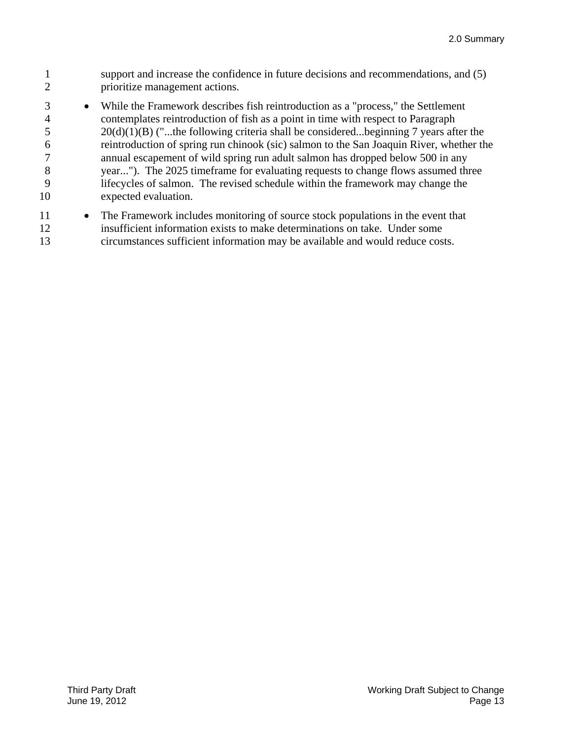- 1 2 support and increase the confidence in future decisions and recommendations, and (5) prioritize management actions.
- 3 4 5 6 7 8 9 10 While the Framework describes fish reintroduction as a "process," the Settlement contemplates reintroduction of fish as a point in time with respect to Paragraph  $20(d)(1)(B)$  ("...the following criteria shall be considered...beginning 7 years after the reintroduction of spring run chinook (sic) salmon to the San Joaquin River, whether the annual escapement of wild spring run adult salmon has dropped below 500 in any year..."). The 2025 timeframe for evaluating requests to change flows assumed three lifecycles of salmon. The revised schedule within the framework may change the expected evaluation.
- 11 12 • The Framework includes monitoring of source stock populations in the event that insufficient information exists to make determinations on take. Under some 13 circumstances sufficient information may be available and would reduce costs.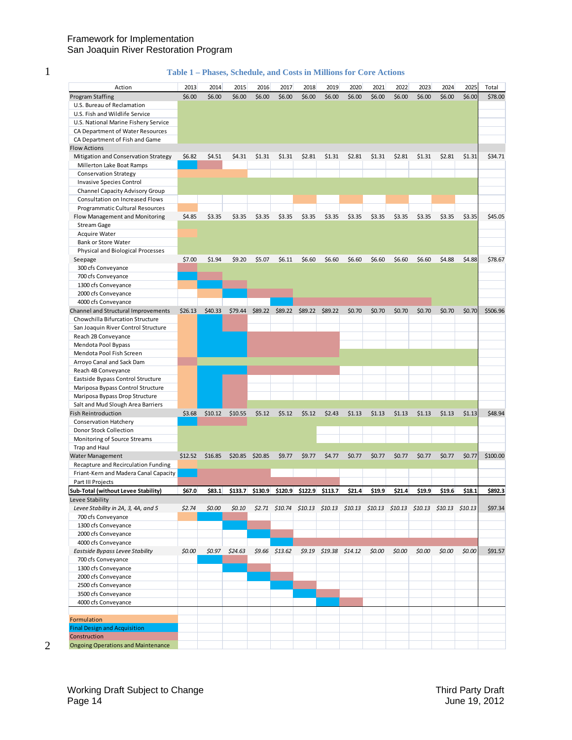#### **Table 1 – Phases, Schedule, and Costs in Millions for Core Actions**

| Action                                    | 2013    | 2014    | 2015     | 2016            | 2017             | 2018    | 2019                                                                           | 2020   | 2021   | 2022   | 2023   | 2024   | 2025   | Total    |
|-------------------------------------------|---------|---------|----------|-----------------|------------------|---------|--------------------------------------------------------------------------------|--------|--------|--------|--------|--------|--------|----------|
| <b>Program Staffing</b>                   | \$6.00  | \$6.00  | \$6.00   | \$6.00          | \$6.00           | \$6.00  | \$6.00                                                                         | \$6.00 | \$6.00 | \$6.00 | \$6.00 | \$6.00 | \$6.00 | \$78.00  |
| U.S. Bureau of Reclamation                |         |         |          |                 |                  |         |                                                                                |        |        |        |        |        |        |          |
| U.S. Fish and Wildlife Service            |         |         |          |                 |                  |         |                                                                                |        |        |        |        |        |        |          |
| U.S. National Marine Fishery Service      |         |         |          |                 |                  |         |                                                                                |        |        |        |        |        |        |          |
| CA Department of Water Resources          |         |         |          |                 |                  |         |                                                                                |        |        |        |        |        |        |          |
| CA Department of Fish and Game            |         |         |          |                 |                  |         |                                                                                |        |        |        |        |        |        |          |
| <b>Flow Actions</b>                       |         |         |          |                 |                  |         |                                                                                |        |        |        |        |        |        |          |
| Mitigation and Conservation Strategy      | \$6.82  | \$4.51  | \$4.31   | \$1.31          | \$1.31           | \$2.81  | \$1.31                                                                         | \$2.81 | \$1.31 | \$2.81 | \$1.31 | \$2.81 | \$1.31 | \$34.71  |
| Millerton Lake Boat Ramps                 |         |         |          |                 |                  |         |                                                                                |        |        |        |        |        |        |          |
| <b>Conservation Strategy</b>              |         |         |          |                 |                  |         |                                                                                |        |        |        |        |        |        |          |
|                                           |         |         |          |                 |                  |         |                                                                                |        |        |        |        |        |        |          |
| Invasive Species Control                  |         |         |          |                 |                  |         |                                                                                |        |        |        |        |        |        |          |
| Channel Capacity Advisory Group           |         |         |          |                 |                  |         |                                                                                |        |        |        |        |        |        |          |
| <b>Consultation on Increased Flows</b>    |         |         |          |                 |                  |         |                                                                                |        |        |        |        |        |        |          |
| Programmatic Cultural Resources           |         |         |          |                 |                  |         |                                                                                |        |        |        |        |        |        |          |
| Flow Management and Monitoring            | \$4.85  | \$3.35  | \$3.35   | \$3.35          | \$3.35           | \$3.35  | \$3.35                                                                         | \$3.35 | \$3.35 | \$3.35 | \$3.35 | \$3.35 | \$3.35 | \$45.05  |
| Stream Gage                               |         |         |          |                 |                  |         |                                                                                |        |        |        |        |        |        |          |
| Acquire Water                             |         |         |          |                 |                  |         |                                                                                |        |        |        |        |        |        |          |
| Bank or Store Water                       |         |         |          |                 |                  |         |                                                                                |        |        |        |        |        |        |          |
| Physical and Biological Processes         |         |         |          |                 |                  |         |                                                                                |        |        |        |        |        |        |          |
| Seepage                                   | \$7.00  | \$1.94  | \$9.20   | \$5.07          | \$6.11           | \$6.60  | \$6.60                                                                         | \$6.60 | \$6.60 | \$6.60 | \$6.60 | \$4.88 | \$4.88 | \$78.67  |
| 300 cfs Conveyance                        |         |         |          |                 |                  |         |                                                                                |        |        |        |        |        |        |          |
| 700 cfs Conveyance                        |         |         |          |                 |                  |         |                                                                                |        |        |        |        |        |        |          |
| 1300 cfs Conveyance                       |         |         |          |                 |                  |         |                                                                                |        |        |        |        |        |        |          |
| 2000 cfs Conveyance                       |         |         |          |                 |                  |         |                                                                                |        |        |        |        |        |        |          |
| 4000 cfs Conveyance                       |         |         |          |                 |                  |         |                                                                                |        |        |        |        |        |        |          |
| Channel and Structural Improvements       | \$26.13 | \$40.33 | \$79.44  | \$89.22         | \$89.22          | \$89.22 | \$89.22                                                                        | \$0.70 | \$0.70 | \$0.70 | \$0.70 | \$0.70 | \$0.70 | \$506.96 |
|                                           |         |         |          |                 |                  |         |                                                                                |        |        |        |        |        |        |          |
| Chowchilla Bifurcation Structure          |         |         |          |                 |                  |         |                                                                                |        |        |        |        |        |        |          |
| San Joaquin River Control Structure       |         |         |          |                 |                  |         |                                                                                |        |        |        |        |        |        |          |
| Reach 2B Conveyance                       |         |         |          |                 |                  |         |                                                                                |        |        |        |        |        |        |          |
| Mendota Pool Bypass                       |         |         |          |                 |                  |         |                                                                                |        |        |        |        |        |        |          |
| Mendota Pool Fish Screen                  |         |         |          |                 |                  |         |                                                                                |        |        |        |        |        |        |          |
| Arroyo Canal and Sack Dam                 |         |         |          |                 |                  |         |                                                                                |        |        |        |        |        |        |          |
| Reach 4B Conveyance                       |         |         |          |                 |                  |         |                                                                                |        |        |        |        |        |        |          |
| Eastside Bypass Control Structure         |         |         |          |                 |                  |         |                                                                                |        |        |        |        |        |        |          |
| Mariposa Bypass Control Structure         |         |         |          |                 |                  |         |                                                                                |        |        |        |        |        |        |          |
| Mariposa Bypass Drop Structure            |         |         |          |                 |                  |         |                                                                                |        |        |        |        |        |        |          |
| Salt and Mud Slough Area Barriers         |         |         |          |                 |                  |         |                                                                                |        |        |        |        |        |        |          |
| <b>Fish Reintroduction</b>                | \$3.68  | \$10.12 | \$10.55  | \$5.12          | \$5.12           | \$5.12  | \$2.43                                                                         | \$1.13 | \$1.13 | \$1.13 | \$1.13 | \$1.13 | \$1.13 | \$48.94  |
| <b>Conservation Hatchery</b>              |         |         |          |                 |                  |         |                                                                                |        |        |        |        |        |        |          |
| Donor Stock Collection                    |         |         |          |                 |                  |         |                                                                                |        |        |        |        |        |        |          |
|                                           |         |         |          |                 |                  |         |                                                                                |        |        |        |        |        |        |          |
| Monitoring of Source Streams              |         |         |          |                 |                  |         |                                                                                |        |        |        |        |        |        |          |
| Trap and Haul                             |         |         |          |                 |                  |         |                                                                                |        |        |        |        |        |        |          |
| Water Management                          | \$12.52 | \$16.85 |          | \$20.85 \$20.85 | \$9.77           | \$9.77  | \$4.77                                                                         | \$0.77 | \$0.77 | \$0.77 | \$0.77 | \$0.77 | \$0.77 | \$100.00 |
| Recapture and Recirculation Funding       |         |         |          |                 |                  |         |                                                                                |        |        |        |        |        |        |          |
| Friant-Kern and Madera Canal Capacity     |         |         |          |                 |                  |         |                                                                                |        |        |        |        |        |        |          |
| Part III Projects                         |         |         |          |                 |                  |         |                                                                                |        |        |        |        |        |        |          |
| Sub-Total (without Levee Stability)       | \$67.0  | \$83.1  | \$133.7  | \$130.9         | \$120.9          | \$122.9 | \$113.7                                                                        | \$21.4 | \$19.9 | \$21.4 | \$19.9 | \$19.6 | \$18.1 | \$892.3  |
| Levee Stability                           |         |         |          |                 |                  |         |                                                                                |        |        |        |        |        |        |          |
| Levee Stability in 2A, 3, 4A, and 5       | \$2.74  | \$0.00  | \$0.10\$ |                 |                  |         | \$2.71 \$10.74 \$10.13 \$10.13 \$10.13 \$10.13 \$10.13 \$10.13 \$10.13 \$10.13 |        |        |        |        |        |        | \$97.34  |
| 700 cfs Conveyance                        |         |         |          |                 |                  |         |                                                                                |        |        |        |        |        |        |          |
| 1300 cfs Conveyance                       |         |         |          |                 |                  |         |                                                                                |        |        |        |        |        |        |          |
| 2000 cfs Conveyance                       |         |         |          |                 |                  |         |                                                                                |        |        |        |        |        |        |          |
| 4000 cfs Conveyance                       |         |         |          |                 |                  |         |                                                                                |        |        |        |        |        |        |          |
| Eastside Bypass Levee Stability           | \$0.00  | \$0.97  | \$24.63  |                 | $$9.66$ $$13.62$ |         | \$9.19 \$19.38 \$14.12                                                         |        | \$0.00 | \$0.00 | \$0.00 | \$0.00 | \$0.00 | \$91.57  |
|                                           |         |         |          |                 |                  |         |                                                                                |        |        |        |        |        |        |          |
| 700 cfs Conveyance                        |         |         |          |                 |                  |         |                                                                                |        |        |        |        |        |        |          |
| 1300 cfs Conveyance                       |         |         |          |                 |                  |         |                                                                                |        |        |        |        |        |        |          |
| 2000 cfs Conveyance                       |         |         |          |                 |                  |         |                                                                                |        |        |        |        |        |        |          |
| 2500 cfs Conveyance                       |         |         |          |                 |                  |         |                                                                                |        |        |        |        |        |        |          |
| 3500 cfs Conveyance                       |         |         |          |                 |                  |         |                                                                                |        |        |        |        |        |        |          |
| 4000 cfs Conveyance                       |         |         |          |                 |                  |         |                                                                                |        |        |        |        |        |        |          |
|                                           |         |         |          |                 |                  |         |                                                                                |        |        |        |        |        |        |          |
| Formulation                               |         |         |          |                 |                  |         |                                                                                |        |        |        |        |        |        |          |
| <b>Final Design and Acquisition</b>       |         |         |          |                 |                  |         |                                                                                |        |        |        |        |        |        |          |
| Construction                              |         |         |          |                 |                  |         |                                                                                |        |        |        |        |        |        |          |
| <b>Ongoing Operations and Maintenance</b> |         |         |          |                 |                  |         |                                                                                |        |        |        |        |        |        |          |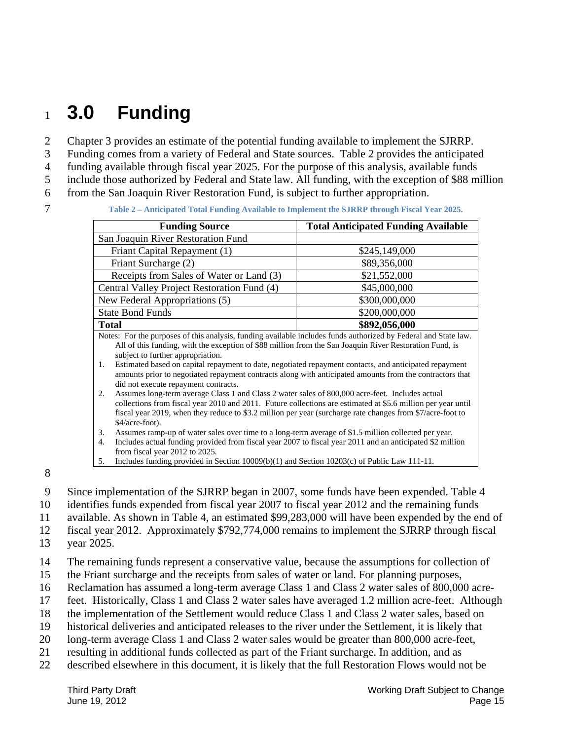# <sup>1</sup>**3.0 Funding**

2 Chapter 3 provides an estimate of the potential funding available to implement the SJRRP.

3 Funding comes from a variety of Federal and State sources. Table 2 provides the anticipated

4 funding available through fiscal year 2025. For the purpose of this analysis, available funds

5 include those authorized by Federal and State law. All funding, with the exception of \$88 million

- 6 from the San Joaquin River Restoration Fund, is subject to further appropriation.
- 

7 **Table 2 – Anticipated Total Funding Available to Implement the SJRRP through Fiscal Year 2025.** 

| <b>Funding Source</b>                                                                                                                                                                                                                                                                                                                                                                                                                                                                                                                                                                                                                                                                                                                                        | <b>Total Anticipated Funding Available</b> |  |  |  |
|--------------------------------------------------------------------------------------------------------------------------------------------------------------------------------------------------------------------------------------------------------------------------------------------------------------------------------------------------------------------------------------------------------------------------------------------------------------------------------------------------------------------------------------------------------------------------------------------------------------------------------------------------------------------------------------------------------------------------------------------------------------|--------------------------------------------|--|--|--|
| San Joaquin River Restoration Fund                                                                                                                                                                                                                                                                                                                                                                                                                                                                                                                                                                                                                                                                                                                           |                                            |  |  |  |
| Friant Capital Repayment (1)                                                                                                                                                                                                                                                                                                                                                                                                                                                                                                                                                                                                                                                                                                                                 | \$245,149,000                              |  |  |  |
| Friant Surcharge (2)                                                                                                                                                                                                                                                                                                                                                                                                                                                                                                                                                                                                                                                                                                                                         | \$89,356,000                               |  |  |  |
| Receipts from Sales of Water or Land (3)                                                                                                                                                                                                                                                                                                                                                                                                                                                                                                                                                                                                                                                                                                                     | \$21,552,000                               |  |  |  |
| Central Valley Project Restoration Fund (4)                                                                                                                                                                                                                                                                                                                                                                                                                                                                                                                                                                                                                                                                                                                  | \$45,000,000                               |  |  |  |
| New Federal Appropriations (5)                                                                                                                                                                                                                                                                                                                                                                                                                                                                                                                                                                                                                                                                                                                               | \$300,000,000                              |  |  |  |
| <b>State Bond Funds</b>                                                                                                                                                                                                                                                                                                                                                                                                                                                                                                                                                                                                                                                                                                                                      | \$200,000,000                              |  |  |  |
| <b>Total</b>                                                                                                                                                                                                                                                                                                                                                                                                                                                                                                                                                                                                                                                                                                                                                 | \$892,056,000                              |  |  |  |
| Notes: For the purposes of this analysis, funding available includes funds authorized by Federal and State law.<br>All of this funding, with the exception of \$88 million from the San Joaquin River Restoration Fund, is<br>subject to further appropriation.<br>Estimated based on capital repayment to date, negotiated repayment contacts, and anticipated repayment<br>1.<br>amounts prior to negotiated repayment contracts along with anticipated amounts from the contractors that<br>did not execute repayment contracts.<br>Assumes long-term average Class 1 and Class 2 water sales of 800,000 acre-feet. Includes actual<br>2.<br>collections from fiscal year 2010 and 2011. Future collections are estimated at \$5.6 million per year until |                                            |  |  |  |
| fiscal year 2019, when they reduce to \$3.2 million per year (surcharge rate changes from \$7/acre-foot to<br>\$4/acre-foot).<br>Assumes ramp-up of water sales over time to a long-term average of \$1.5 million collected per year.<br>3.<br>Includes actual funding provided from fiscal year 2007 to fiscal year 2011 and an anticipated \$2 million<br>4.<br>from fiscal year 2012 to 2025.                                                                                                                                                                                                                                                                                                                                                             |                                            |  |  |  |

8

9 Since implementation of the SJRRP began in 2007, some funds have been expended. Table 4

5. Includes funding provided in Section 10009(b)(1) and Section 10203(c) of Public Law 111-11.

- 10 identifies funds expended from fiscal year 2007 to fiscal year 2012 and the remaining funds
- 11 available. As shown in Table 4, an estimated \$99,283,000 will have been expended by the end of

12 fiscal year 2012. Approximately \$792,774,000 remains to implement the SJRRP through fiscal

13 year 2025.

14 The remaining funds represent a conservative value, because the assumptions for collection of

- 15 the Friant surcharge and the receipts from sales of water or land. For planning purposes,
- 16 Reclamation has assumed a long-term average Class 1 and Class 2 water sales of 800,000 acre-
- 17 feet. Historically, Class 1 and Class 2 water sales have averaged 1.2 million acre-feet. Although
- 18 the implementation of the Settlement would reduce Class 1 and Class 2 water sales, based on
- 19 historical deliveries and anticipated releases to the river under the Settlement, it is likely that
- 20 long-term average Class 1 and Class 2 water sales would be greater than 800,000 acre-feet,
- 21 resulting in additional funds collected as part of the Friant surcharge. In addition, and as
- 22 described elsewhere in this document, it is likely that the full Restoration Flows would not be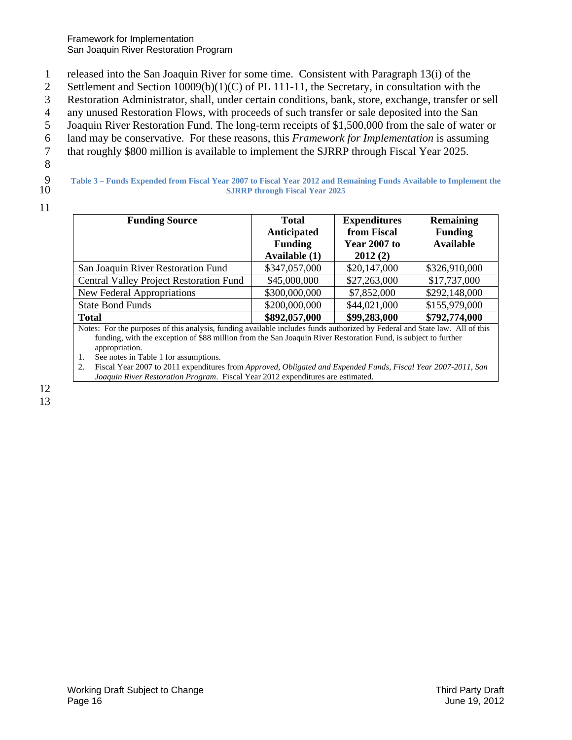1 released into the San Joaquin River for some time. Consistent with Paragraph 13(i) of the

2 Settlement and Section 10009(b)(1)(C) of PL 111-11, the Secretary, in consultation with the

3 Restoration Administrator, shall, under certain conditions, bank, store, exchange, transfer or sell

4 any unused Restoration Flows, with proceeds of such transfer or sale deposited into the San

5 Joaquin River Restoration Fund. The long-term receipts of \$1,500,000 from the sale of water or

6 land may be conservative. For these reasons, this *Framework for Implementation* is assuming

- 7 that roughly \$800 million is available to implement the SJRRP through Fiscal Year 2025.
- 8
- 9

10 **Table 3 – Funds Expended from Fiscal Year 2007 to Fiscal Year 2012 and Remaining Funds Available to Implement the SJRRP through Fiscal Year 2025** 

11

| <b>Funding Source</b>                   | <b>Total</b><br>Anticipated<br><b>Funding</b><br>Available (1) | <b>Expenditures</b><br>from Fiscal<br><b>Year 2007 to</b><br>2012(2) | <b>Remaining</b><br><b>Funding</b><br><b>Available</b> |  |
|-----------------------------------------|----------------------------------------------------------------|----------------------------------------------------------------------|--------------------------------------------------------|--|
| San Joaquin River Restoration Fund      | \$347,057,000                                                  | \$20,147,000                                                         | \$326,910,000                                          |  |
| Central Valley Project Restoration Fund | \$45,000,000                                                   | \$27,263,000                                                         | \$17,737,000                                           |  |
| New Federal Appropriations              | \$300,000,000                                                  | \$7,852,000                                                          | \$292,148,000                                          |  |
| <b>State Bond Funds</b>                 | \$200,000,000                                                  | \$44,021,000                                                         | \$155,979,000                                          |  |
| <b>Total</b>                            | \$892,057,000                                                  | \$99,283,000                                                         | \$792,774,000                                          |  |

Notes: For the purposes of this analysis, funding available includes funds authorized by Federal and State law. All of this funding, with the exception of \$88 million from the San Joaquin River Restoration Fund, is subject to further appropriation.

1. See notes in Table 1 for assumptions.

 *Joaquin River Restoration Program*. Fiscal Year 2012 expenditures are estimated. 12 2. Fiscal Year 2007 to 2011 expenditures from *Approved, Obligated and Expended Funds, Fiscal Year 2007-2011, San*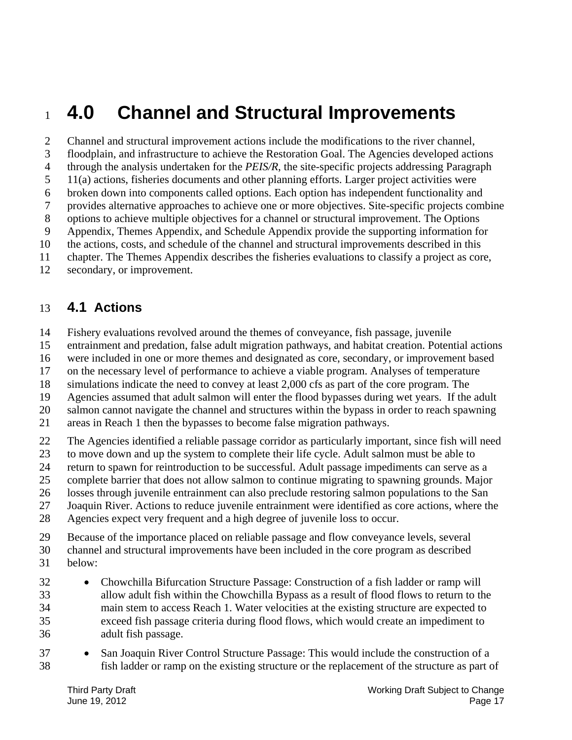## <sup>1</sup>**4.0 Channel and Structural Improvements**

5 10 2 Channel and structural improvement actions include the modifications to the river channel, 3 floodplain, and infrastructure to achieve the Restoration Goal. The Agencies developed actions 4 through the analysis undertaken for the *PEIS/R*, the site-specific projects addressing Paragraph 11(a) actions, fisheries documents and other planning efforts. Larger project activities were 6 broken down into components called options. Each option has independent functionality and 7 provides alternative approaches to achieve one or more objectives. Site-specific projects combine 8 options to achieve multiple objectives for a channel or structural improvement. The Options 9 Appendix, Themes Appendix, and Schedule Appendix provide the supporting information for the actions, costs, and schedule of the channel and structural improvements described in this 11 chapter. The Themes Appendix describes the fisheries evaluations to classify a project as core,

12 secondary, or improvement.

### 13 **4.1 Actions**

- 14 Fishery evaluations revolved around the themes of conveyance, fish passage, juvenile
- 15 entrainment and predation, false adult migration pathways, and habitat creation. Potential actions
- 16 were included in one or more themes and designated as core, secondary, or improvement based
- 17 on the necessary level of performance to achieve a viable program. Analyses of temperature
- 18 simulations indicate the need to convey at least 2,000 cfs as part of the core program. The
- 19 Agencies assumed that adult salmon will enter the flood bypasses during wet years. If the adult
- 20 salmon cannot navigate the channel and structures within the bypass in order to reach spawning
- 21 areas in Reach 1 then the bypasses to become false migration pathways.
- 22 The Agencies identified a reliable passage corridor as particularly important, since fish will need
- 23 to move down and up the system to complete their life cycle. Adult salmon must be able to
- 24 return to spawn for reintroduction to be successful. Adult passage impediments can serve as a
- 25 complete barrier that does not allow salmon to continue migrating to spawning grounds. Major
- 26 losses through juvenile entrainment can also preclude restoring salmon populations to the San 27 Joaquin River. Actions to reduce juvenile entrainment were identified as core actions, where the
- 28 Agencies expect very frequent and a high degree of juvenile loss to occur.
- 
- 29 Because of the importance placed on reliable passage and flow conveyance levels, several
- 30 channel and structural improvements have been included in the core program as described 31 below:
- 
- 35 32 Chowchilla Bifurcation Structure Passage: Construction of a fish ladder or ramp will 33 allow adult fish within the Chowchilla Bypass as a result of flood flows to return to the 34 main stem to access Reach 1. Water velocities at the existing structure are expected to exceed fish passage criteria during flood flows, which would create an impediment to 36 adult fish passage.
- 37 San Joaquin River Control Structure Passage: This would include the construction of a 38 fish ladder or ramp on the existing structure or the replacement of the structure as part of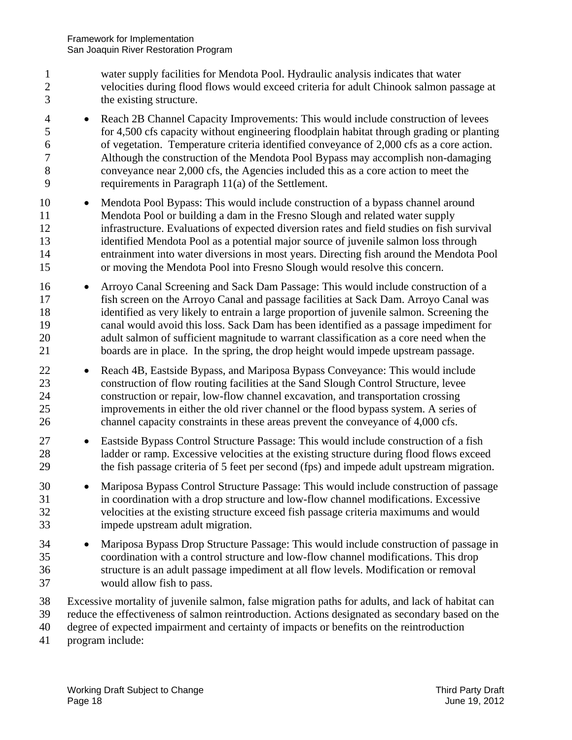- 1 water supply facilities for Mendota Pool. Hydraulic analysis indicates that water 2 velocities during flood flows would exceed criteria for adult Chinook salmon passage at 3 the existing structure.
- 4 Reach 2B Channel Capacity Improvements: This would include construction of levees 5 for 4,500 cfs capacity without engineering floodplain habitat through grading or planting 6 of vegetation. Temperature criteria identified conveyance of 2,000 cfs as a core action. 7 Although the construction of the Mendota Pool Bypass may accomplish non-damaging 8 conveyance near 2,000 cfs, the Agencies included this as a core action to meet the 9 requirements in Paragraph 11(a) of the Settlement.
- 10 Mendota Pool Bypass: This would include construction of a bypass channel around 11 Mendota Pool or building a dam in the Fresno Slough and related water supply 12 infrastructure. Evaluations of expected diversion rates and field studies on fish survival 13 identified Mendota Pool as a potential major source of juvenile salmon loss through 14 entrainment into water diversions in most years. Directing fish around the Mendota Pool 15 or moving the Mendota Pool into Fresno Slough would resolve this concern.
- 16 Arroyo Canal Screening and Sack Dam Passage: This would include construction of a 17 fish screen on the Arroyo Canal and passage facilities at Sack Dam. Arroyo Canal was 18 identified as very likely to entrain a large proportion of juvenile salmon. Screening the 19 canal would avoid this loss. Sack Dam has been identified as a passage impediment for 20 adult salmon of sufficient magnitude to warrant classification as a core need when the 21 boards are in place. In the spring, the drop height would impede upstream passage.
- 22 
Reach 4B, Eastside Bypass, and Mariposa Bypass Conveyance: This would include 23 construction of flow routing facilities at the Sand Slough Control Structure, levee 24 construction or repair, low-flow channel excavation, and transportation crossing 25 improvements in either the old river channel or the flood bypass system. A series of 26 channel capacity constraints in these areas prevent the conveyance of 4,000 cfs.
- 27 **Eastside Bypass Control Structure Passage: This would include construction of a fish** 28 ladder or ramp. Excessive velocities at the existing structure during flood flows exceed 29 the fish passage criteria of 5 feet per second (fps) and impede adult upstream migration.
- 30 Mariposa Bypass Control Structure Passage: This would include construction of passage 31 in coordination with a drop structure and low-flow channel modifications. Excessive 32 velocities at the existing structure exceed fish passage criteria maximums and would 33 impede upstream adult migration.
- 34 Mariposa Bypass Drop Structure Passage: This would include construction of passage in 35 coordination with a control structure and low-flow channel modifications. This drop 36 structure is an adult passage impediment at all flow levels. Modification or removal 37 would allow fish to pass.
- 38 Excessive mortality of juvenile salmon, false migration paths for adults, and lack of habitat can
- 39 reduce the effectiveness of salmon reintroduction. Actions designated as secondary based on the
- 40 degree of expected impairment and certainty of impacts or benefits on the reintroduction
- 41 program include: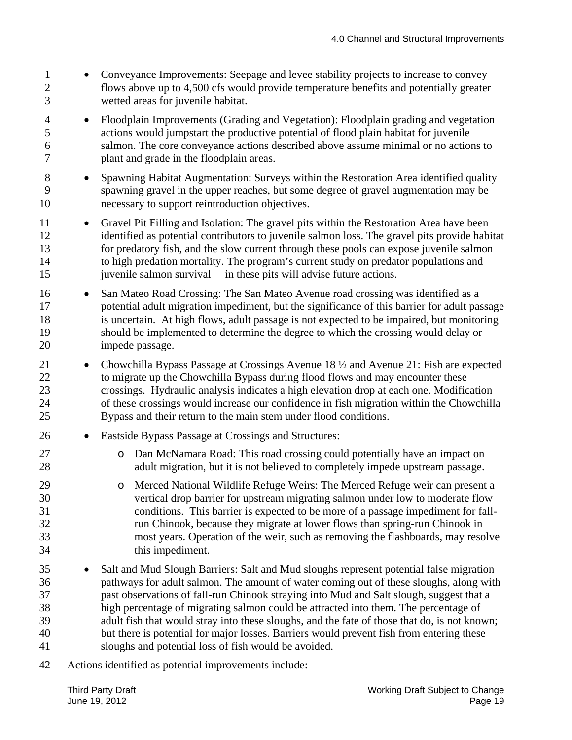- 1 Conveyance Improvements: Seepage and levee stability projects to increase to convey 2 flows above up to 4,500 cfs would provide temperature benefits and potentially greater 3 wetted areas for juvenile habitat.
- 5 4 Floodplain Improvements (Grading and Vegetation): Floodplain grading and vegetation actions would jumpstart the productive potential of flood plain habitat for juvenile 6 salmon. The core conveyance actions described above assume minimal or no actions to 7 plant and grade in the floodplain areas.
- 10 8 • Spawning Habitat Augmentation: Surveys within the Restoration Area identified quality 9 spawning gravel in the upper reaches, but some degree of gravel augmentation may be necessary to support reintroduction objectives.
- juvenile salmon survival in these pits will advise future actions. 15 11 • Gravel Pit Filling and Isolation: The gravel pits within the Restoration Area have been 12 identified as potential contributors to juvenile salmon loss. The gravel pits provide habitat 13 for predatory fish, and the slow current through these pools can expose juvenile salmon 14 to high predation mortality. The program's current study on predator populations and
- 20 16 San Mateo Road Crossing: The San Mateo Avenue road crossing was identified as a 17 potential adult migration impediment, but the significance of this barrier for adult passage 18 is uncertain. At high flows, adult passage is not expected to be impaired, but monitoring 19 should be implemented to determine the degree to which the crossing would delay or impede passage.
- 25 21 • Chowchilla Bypass Passage at Crossings Avenue 18  $\frac{1}{2}$  and Avenue 21: Fish are expected 22 to migrate up the Chowchilla Bypass during flood flows and may encounter these 23 crossings. Hydraulic analysis indicates a high elevation drop at each one. Modification 24 of these crossings would increase our confidence in fish migration within the Chowchilla Bypass and their return to the main stem under flood conditions.
- 26 Eastside Bypass Passage at Crossings and Structures:
- 27 o Dan McNamara Road: This road crossing could potentially have an impact on 28 adult migration, but it is not believed to completely impede upstream passage.
- 29 o Merced National Wildlife Refuge Weirs: The Merced Refuge weir can present a vertical drop barrier for upstream migrating salmon under low to moderate flow 31 conditions. This barrier is expected to be more of a passage impediment for fall-32 run Chinook, because they migrate at lower flows than spring-run Chinook in 33 most years. Operation of the weir, such as removing the flashboards, may resolve 34 this impediment.
- 35 40 • Salt and Mud Slough Barriers: Salt and Mud sloughs represent potential false migration 36 pathways for adult salmon. The amount of water coming out of these sloughs, along with 37 past observations of fall-run Chinook straying into Mud and Salt slough, suggest that a 38 high percentage of migrating salmon could be attracted into them. The percentage of 39 adult fish that would stray into these sloughs, and the fate of those that do, is not known; but there is potential for major losses. Barriers would prevent fish from entering these 41 sloughs and potential loss of fish would be avoided.
- 42 Actions identified as potential improvements include: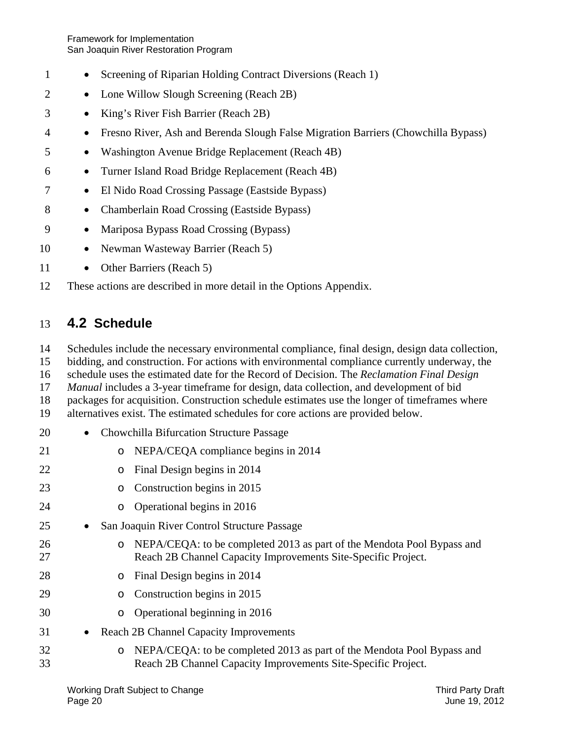Framework for Implementation San Joaquin River Restoration Program

- 1 Screening of Riparian Holding Contract Diversions (Reach 1)
- 2 Lone Willow Slough Screening (Reach 2B)
- 3 King's River Fish Barrier (Reach 2B)
- 4 Fresno River, Ash and Berenda Slough False Migration Barriers (Chowchilla Bypass)
- 5 Washington Avenue Bridge Replacement (Reach 4B)
- 6 Turner Island Road Bridge Replacement (Reach 4B)
- 7 El Nido Road Crossing Passage (Eastside Bypass)
- 8 Chamberlain Road Crossing (Eastside Bypass)
- 9 Mariposa Bypass Road Crossing (Bypass)
- 10 • Newman Wasteway Barrier (Reach 5)
- 11 Other Barriers (Reach 5)
- 12 These actions are described in more detail in the Options Appendix.

### 13 **4.2 Schedule**

- 14 Schedules include the necessary environmental compliance, final design, design data collection,
- 15 bidding, and construction. For actions with environmental compliance currently underway, the
- 16 schedule uses the estimated date for the Record of Decision. The *Reclamation Final Design*
- 17 *Manual* includes a 3-year timeframe for design, data collection, and development of bid
- 18 packages for acquisition. Construction schedule estimates use the longer of timeframes where
- 19 alternatives exist. The estimated schedules for core actions are provided below.
- 20 Chowchilla Bifurcation Structure Passage
- 21 o NEPA/CEQA compliance begins in 2014
- 22 o Final Design begins in 2014
- 23 o Construction begins in 2015
- 24 o Operational begins in 2016
- 25 • San Joaquin River Control Structure Passage
- 26 o NEPA/CEQA: to be completed 2013 as part of the Mendota Pool Bypass and 27 Reach 2B Channel Capacity Improvements Site-Specific Project.
- 28 o Final Design begins in 2014
- 29 o Construction begins in 2015
- 30 o Operational beginning in 2016
- 31 Reach 2B Channel Capacity Improvements
- 32 o NEPA/CEQA: to be completed 2013 as part of the Mendota Pool Bypass and 33 Reach 2B Channel Capacity Improvements Site-Specific Project.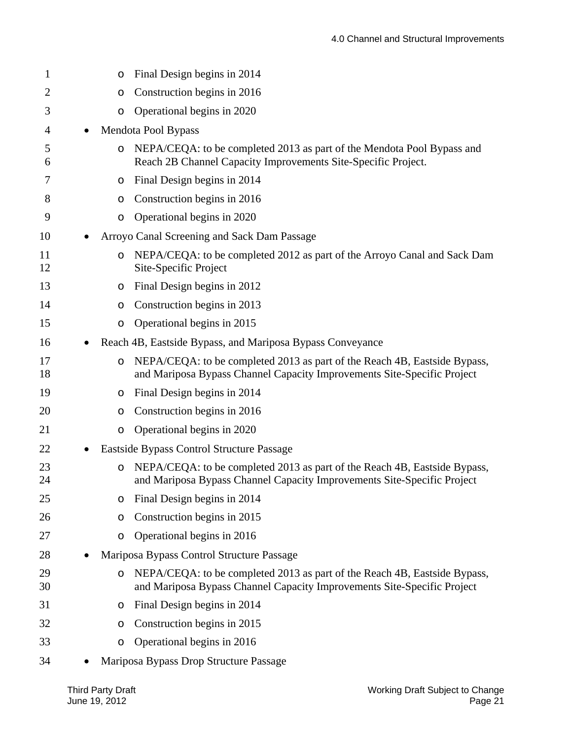| 1        | $\circ$ | Final Design begins in 2014                                                                                                                          |
|----------|---------|------------------------------------------------------------------------------------------------------------------------------------------------------|
| 2        | O       | Construction begins in 2016                                                                                                                          |
| 3        | O       | Operational begins in 2020                                                                                                                           |
| 4        |         | Mendota Pool Bypass                                                                                                                                  |
| 5<br>6   | $\circ$ | NEPA/CEQA: to be completed 2013 as part of the Mendota Pool Bypass and<br>Reach 2B Channel Capacity Improvements Site-Specific Project.              |
| 7        | O       | Final Design begins in 2014                                                                                                                          |
| 8        | O       | Construction begins in 2016                                                                                                                          |
| 9        | O       | Operational begins in 2020                                                                                                                           |
| 10       |         | Arroyo Canal Screening and Sack Dam Passage                                                                                                          |
| 11<br>12 | $\circ$ | NEPA/CEQA: to be completed 2012 as part of the Arroyo Canal and Sack Dam<br>Site-Specific Project                                                    |
| 13       | O       | Final Design begins in 2012                                                                                                                          |
| 14       | O       | Construction begins in 2013                                                                                                                          |
| 15       | O       | Operational begins in 2015                                                                                                                           |
| 16       |         | Reach 4B, Eastside Bypass, and Mariposa Bypass Conveyance                                                                                            |
| 17<br>18 | $\circ$ | NEPA/CEQA: to be completed 2013 as part of the Reach 4B, Eastside Bypass,<br>and Mariposa Bypass Channel Capacity Improvements Site-Specific Project |
| 19       | O       | Final Design begins in 2014                                                                                                                          |
| 20       | O       | Construction begins in 2016                                                                                                                          |
| 21       | O       | Operational begins in 2020                                                                                                                           |
| 22       |         | Eastside Bypass Control Structure Passage                                                                                                            |
| 23<br>24 | $\circ$ | NEPA/CEQA: to be completed 2013 as part of the Reach 4B, Eastside Bypass,<br>and Mariposa Bypass Channel Capacity Improvements Site-Specific Project |
| 25       | O       | Final Design begins in 2014                                                                                                                          |
| 26       | O       | Construction begins in 2015                                                                                                                          |
| 27       | O       | Operational begins in 2016                                                                                                                           |
| 28       |         | Mariposa Bypass Control Structure Passage                                                                                                            |
| 29<br>30 | O       | NEPA/CEQA: to be completed 2013 as part of the Reach 4B, Eastside Bypass,<br>and Mariposa Bypass Channel Capacity Improvements Site-Specific Project |
| 31       | O       | Final Design begins in 2014                                                                                                                          |
| 32       | O       | Construction begins in 2015                                                                                                                          |
| 33       | $\circ$ | Operational begins in 2016                                                                                                                           |
| 34       |         | Mariposa Bypass Drop Structure Passage                                                                                                               |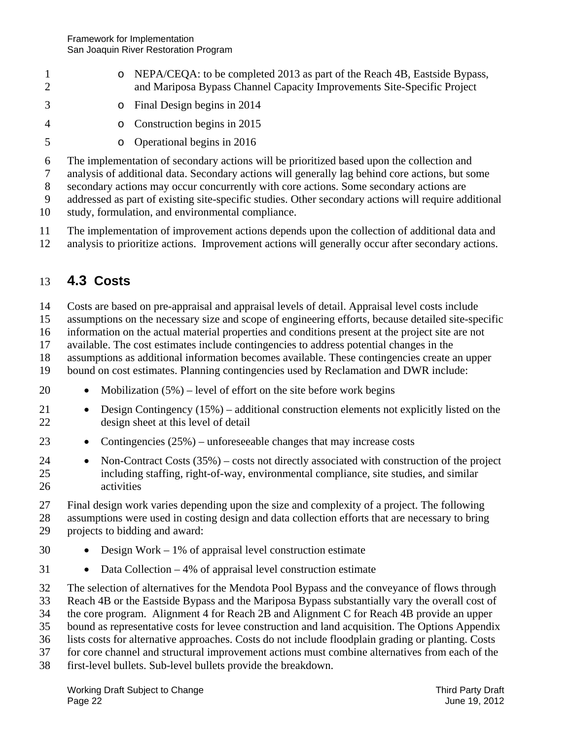- 1 o NEPA/CEQA: to be completed 2013 as part of the Reach 4B, Eastside Bypass, 2 and Mariposa Bypass Channel Capacity Improvements Site-Specific Project
- 3 o Final Design begins in 2014
- 4 o Construction begins in 2015
	- o Operational begins in 2016
- 6 The implementation of secondary actions will be prioritized based upon the collection and

7 analysis of additional data. Secondary actions will generally lag behind core actions, but some

8 secondary actions may occur concurrently with core actions. Some secondary actions are

- 9 addressed as part of existing site-specific studies. Other secondary actions will require additional
- 10 study, formulation, and environmental compliance.
- 11 The implementation of improvement actions depends upon the collection of additional data and
- 12 analysis to prioritize actions. Improvement actions will generally occur after secondary actions.

### 13 **4.3 Costs**

5

14 Costs are based on pre-appraisal and appraisal levels of detail. Appraisal level costs include

15 assumptions on the necessary size and scope of engineering efforts, because detailed site-specific

16 information on the actual material properties and conditions present at the project site are not

17 available. The cost estimates include contingencies to address potential changes in the

18 assumptions as additional information becomes available. These contingencies create an upper

19 bound on cost estimates. Planning contingencies used by Reclamation and DWR include:

- 20 • Mobilization  $(5\%)$  – level of effort on the site before work begins
- 21 Design Contingency (15%) additional construction elements not explicitly listed on the 22 design sheet at this level of detail
- 23 **•** Contingencies  $(25%)$  unforeseeable changes that may increase costs
- 25 24 • Non-Contract Costs (35%) – costs not directly associated with construction of the project including staffing, right-of-way, environmental compliance, site studies, and similar 26 activities

27 Final design work varies depending upon the size and complexity of a project. The following

28 assumptions were used in costing design and data collection efforts that are necessary to bring 29 projects to bidding and award:

- 30  $\bullet$  Design Work – 1% of appraisal level construction estimate
- 31 **•** Data Collection 4% of appraisal level construction estimate

32 The selection of alternatives for the Mendota Pool Bypass and the conveyance of flows through

33 Reach 4B or the Eastside Bypass and the Mariposa Bypass substantially vary the overall cost of

34 the core program. Alignment 4 for Reach 2B and Alignment C for Reach 4B provide an upper

35 bound as representative costs for levee construction and land acquisition. The Options Appendix

- 36 lists costs for alternative approaches. Costs do not include floodplain grading or planting. Costs
- 37 for core channel and structural improvement actions must combine alternatives from each of the 38 first-level bullets. Sub-level bullets provide the breakdown.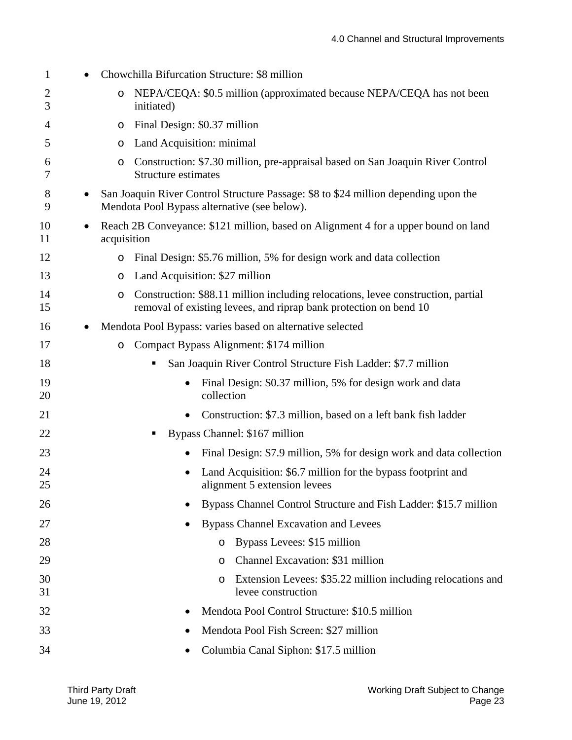| 1        |   | Chowchilla Bifurcation Structure: \$8 million                                                                                                              |
|----------|---|------------------------------------------------------------------------------------------------------------------------------------------------------------|
| 2<br>3   |   | NEPA/CEQA: \$0.5 million (approximated because NEPA/CEQA has not been<br>O<br>initiated)                                                                   |
| 4        |   | Final Design: \$0.37 million<br>O                                                                                                                          |
| 5        |   | Land Acquisition: minimal<br>O                                                                                                                             |
| 6<br>7   |   | Construction: \$7.30 million, pre-appraisal based on San Joaquin River Control<br>O<br>Structure estimates                                                 |
| 8<br>9   |   | San Joaquin River Control Structure Passage: \$8 to \$24 million depending upon the<br>Mendota Pool Bypass alternative (see below).                        |
| 10<br>11 | ٠ | Reach 2B Conveyance: \$121 million, based on Alignment 4 for a upper bound on land<br>acquisition                                                          |
| 12       |   | Final Design: \$5.76 million, 5% for design work and data collection<br>O                                                                                  |
| 13       |   | Land Acquisition: \$27 million<br>O                                                                                                                        |
| 14<br>15 |   | Construction: \$88.11 million including relocations, levee construction, partial<br>O<br>removal of existing levees, and riprap bank protection on bend 10 |
| 16       |   | Mendota Pool Bypass: varies based on alternative selected                                                                                                  |
| 17       |   | Compact Bypass Alignment: \$174 million<br>O                                                                                                               |
| 18       |   | San Joaquin River Control Structure Fish Ladder: \$7.7 million<br>$\blacksquare$                                                                           |
| 19<br>20 |   | Final Design: \$0.37 million, 5% for design work and data<br>collection                                                                                    |
| 21       |   | Construction: \$7.3 million, based on a left bank fish ladder                                                                                              |
| 22       |   | Bypass Channel: \$167 million<br>ш                                                                                                                         |
| 23       |   | Final Design: \$7.9 million, 5% for design work and data collection                                                                                        |
| 24<br>25 |   | Land Acquisition: \$6.7 million for the bypass footprint and<br>alignment 5 extension levees                                                               |
| 26       |   | Bypass Channel Control Structure and Fish Ladder: \$15.7 million                                                                                           |
| 27       |   | <b>Bypass Channel Excavation and Levees</b>                                                                                                                |
| 28       |   | Bypass Levees: \$15 million<br>$\circ$                                                                                                                     |
| 29       |   | Channel Excavation: \$31 million<br>$\circ$                                                                                                                |
| 30<br>31 |   | Extension Levees: \$35.22 million including relocations and<br>$\circ$<br>levee construction                                                               |
| 32       |   | Mendota Pool Control Structure: \$10.5 million                                                                                                             |
| 33       |   | Mendota Pool Fish Screen: \$27 million                                                                                                                     |
| 34       |   | Columbia Canal Siphon: \$17.5 million                                                                                                                      |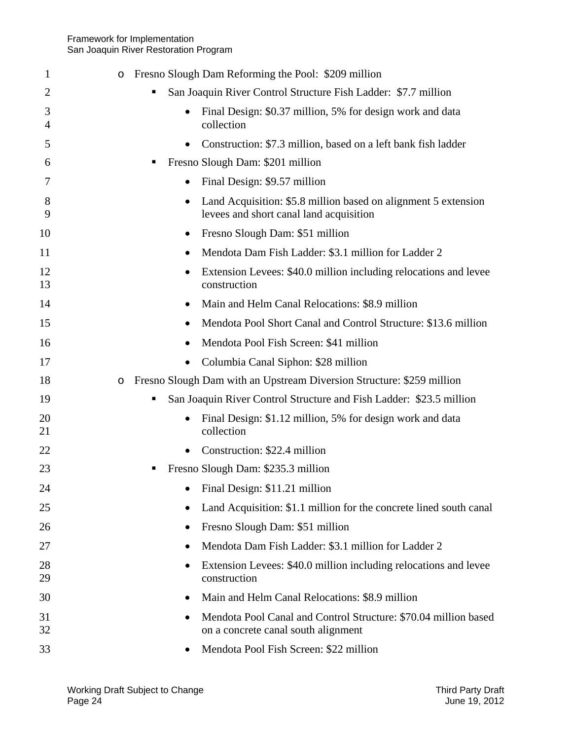| 1        | Fresno Slough Dam Reforming the Pool: \$209 million<br>O                                                               |
|----------|------------------------------------------------------------------------------------------------------------------------|
| 2        | San Joaquin River Control Structure Fish Ladder: \$7.7 million                                                         |
| 3<br>4   | Final Design: \$0.37 million, 5% for design work and data<br>$\bullet$<br>collection                                   |
| 5        | Construction: \$7.3 million, based on a left bank fish ladder<br>$\bullet$                                             |
| 6        | Fresno Slough Dam: \$201 million<br>п                                                                                  |
| 7        | Final Design: \$9.57 million<br>$\bullet$                                                                              |
| 8<br>9   | Land Acquisition: \$5.8 million based on alignment 5 extension<br>$\bullet$<br>levees and short canal land acquisition |
| 10       | Fresno Slough Dam: \$51 million<br>$\bullet$                                                                           |
| 11       | Mendota Dam Fish Ladder: \$3.1 million for Ladder 2                                                                    |
| 12<br>13 | Extension Levees: \$40.0 million including relocations and levee<br>$\bullet$<br>construction                          |
| 14       | Main and Helm Canal Relocations: \$8.9 million                                                                         |
| 15       | Mendota Pool Short Canal and Control Structure: \$13.6 million                                                         |
| 16       | Mendota Pool Fish Screen: \$41 million                                                                                 |
| 17       | Columbia Canal Siphon: \$28 million<br>$\bullet$                                                                       |
| 18       | Fresno Slough Dam with an Upstream Diversion Structure: \$259 million<br>$\circ$                                       |
| 19       | San Joaquin River Control Structure and Fish Ladder: \$23.5 million                                                    |
| 20<br>21 | Final Design: \$1.12 million, 5% for design work and data<br>$\bullet$<br>collection                                   |
| 22       | Construction: \$22.4 million<br>$\bullet$                                                                              |
| 23       | Fresno Slough Dam: \$235.3 million                                                                                     |
| 24       | Final Design: \$11.21 million                                                                                          |
| 25       | Land Acquisition: \$1.1 million for the concrete lined south canal<br>٠                                                |
| 26       | Fresno Slough Dam: \$51 million<br>$\bullet$                                                                           |
| 27       | Mendota Dam Fish Ladder: \$3.1 million for Ladder 2<br>$\bullet$                                                       |
| 28<br>29 | Extension Levees: \$40.0 million including relocations and levee<br>$\bullet$<br>construction                          |
| 30       | Main and Helm Canal Relocations: \$8.9 million<br>$\bullet$                                                            |
| 31<br>32 | Mendota Pool Canal and Control Structure: \$70.04 million based<br>on a concrete canal south alignment                 |
| 33       | Mendota Pool Fish Screen: \$22 million                                                                                 |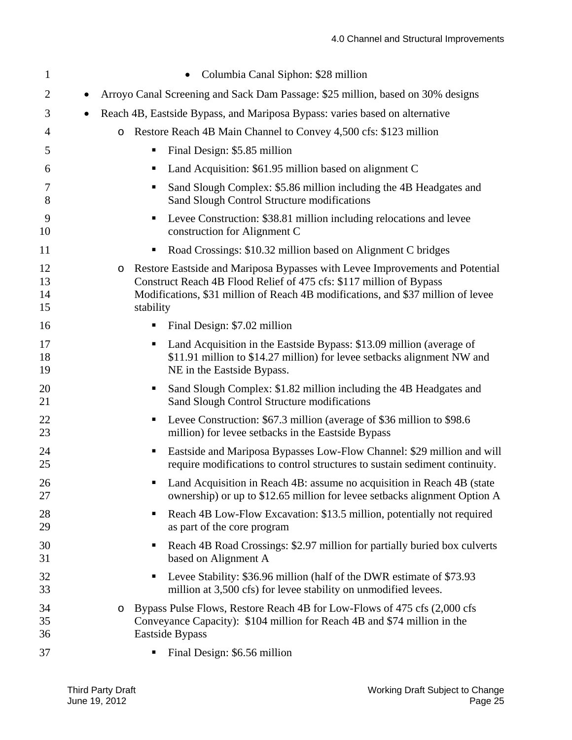| $\mathbf{1}$         | Columbia Canal Siphon: \$28 million                                                                                                                                                                                                                             |
|----------------------|-----------------------------------------------------------------------------------------------------------------------------------------------------------------------------------------------------------------------------------------------------------------|
| 2                    | Arroyo Canal Screening and Sack Dam Passage: \$25 million, based on 30% designs<br>$\bullet$                                                                                                                                                                    |
| 3                    | Reach 4B, Eastside Bypass, and Mariposa Bypass: varies based on alternative<br>$\bullet$                                                                                                                                                                        |
| 4                    | Restore Reach 4B Main Channel to Convey 4,500 cfs: \$123 million<br>$\circ$                                                                                                                                                                                     |
| 5                    | Final Design: \$5.85 million<br>п                                                                                                                                                                                                                               |
| 6                    | Land Acquisition: \$61.95 million based on alignment C<br>٠                                                                                                                                                                                                     |
| 7<br>8               | Sand Slough Complex: \$5.86 million including the 4B Headgates and<br>п<br>Sand Slough Control Structure modifications                                                                                                                                          |
| 9<br>10              | Levee Construction: \$38.81 million including relocations and levee<br>п<br>construction for Alignment C                                                                                                                                                        |
| 11                   | Road Crossings: \$10.32 million based on Alignment C bridges<br>Е                                                                                                                                                                                               |
| 12<br>13<br>14<br>15 | Restore Eastside and Mariposa Bypasses with Levee Improvements and Potential<br>$\circ$<br>Construct Reach 4B Flood Relief of 475 cfs: \$117 million of Bypass<br>Modifications, \$31 million of Reach 4B modifications, and \$37 million of levee<br>stability |
| 16                   | Final Design: \$7.02 million<br>п,                                                                                                                                                                                                                              |
| 17<br>18<br>19       | Land Acquisition in the Eastside Bypass: \$13.09 million (average of<br>п<br>\$11.91 million to \$14.27 million) for levee setbacks alignment NW and<br>NE in the Eastside Bypass.                                                                              |
| 20<br>21             | Sand Slough Complex: \$1.82 million including the 4B Headgates and<br>п<br>Sand Slough Control Structure modifications                                                                                                                                          |
| 22<br>23             | Levee Construction: \$67.3 million (average of \$36 million to \$98.6)<br>п<br>million) for levee setbacks in the Eastside Bypass                                                                                                                               |
| 24<br>25             | Eastside and Mariposa Bypasses Low-Flow Channel: \$29 million and will<br>п<br>require modifications to control structures to sustain sediment continuity.                                                                                                      |
| 26<br>27             | Land Acquisition in Reach 4B: assume no acquisition in Reach 4B (state<br>ownership) or up to \$12.65 million for levee setbacks alignment Option A                                                                                                             |
| 28<br>29             | Reach 4B Low-Flow Excavation: \$13.5 million, potentially not required<br>٠<br>as part of the core program                                                                                                                                                      |
| 30<br>31             | Reach 4B Road Crossings: \$2.97 million for partially buried box culverts<br>п<br>based on Alignment A                                                                                                                                                          |
| 32<br>33             | Levee Stability: \$36.96 million (half of the DWR estimate of \$73.93<br>п<br>million at 3,500 cfs) for levee stability on unmodified levees.                                                                                                                   |
| 34<br>35<br>36       | Bypass Pulse Flows, Restore Reach 4B for Low-Flows of 475 cfs (2,000 cfs)<br>$\circ$<br>Conveyance Capacity): \$104 million for Reach 4B and \$74 million in the<br>Eastside Bypass                                                                             |
| 37                   | Final Design: \$6.56 million<br>п,                                                                                                                                                                                                                              |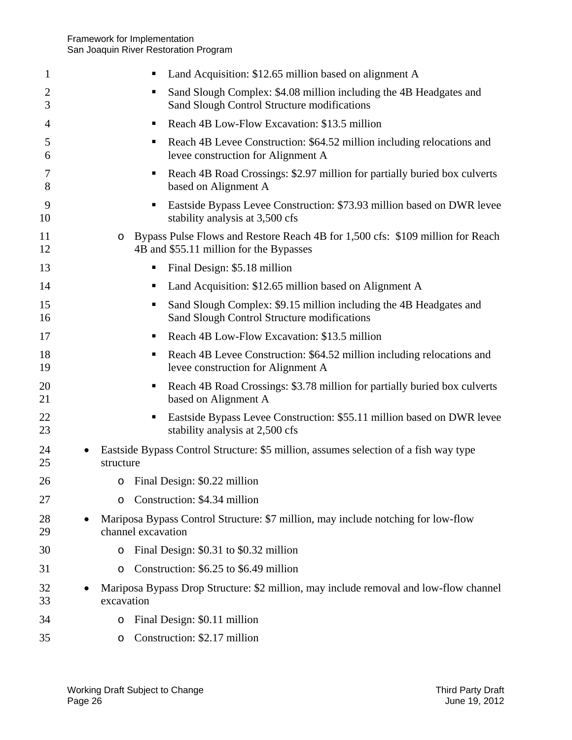| 1                   | Land Acquisition: \$12.65 million based on alignment A<br>п                                                                          |
|---------------------|--------------------------------------------------------------------------------------------------------------------------------------|
| $\overline{2}$<br>3 | Sand Slough Complex: \$4.08 million including the 4B Headgates and<br>п<br>Sand Slough Control Structure modifications               |
| 4                   | Reach 4B Low-Flow Excavation: \$13.5 million<br>٠                                                                                    |
| 5<br>6              | Reach 4B Levee Construction: \$64.52 million including relocations and<br>٠<br>levee construction for Alignment A                    |
| 7<br>8              | Reach 4B Road Crossings: \$2.97 million for partially buried box culverts<br>п<br>based on Alignment A                               |
| 9<br>10             | Eastside Bypass Levee Construction: \$73.93 million based on DWR levee<br>п<br>stability analysis at 3,500 cfs                       |
| 11<br>12            | Bypass Pulse Flows and Restore Reach 4B for 1,500 cfs: \$109 million for Reach<br>$\circ$<br>4B and \$55.11 million for the Bypasses |
| 13                  | Final Design: \$5.18 million<br>п                                                                                                    |
| 14                  | Land Acquisition: \$12.65 million based on Alignment A<br>п                                                                          |
| 15<br>16            | Sand Slough Complex: \$9.15 million including the 4B Headgates and<br>п<br>Sand Slough Control Structure modifications               |
| 17                  | Reach 4B Low-Flow Excavation: \$13.5 million<br>п                                                                                    |
| 18<br>19            | Reach 4B Levee Construction: \$64.52 million including relocations and<br>п<br>levee construction for Alignment A                    |
| 20<br>21            | Reach 4B Road Crossings: \$3.78 million for partially buried box culverts<br>п<br>based on Alignment A                               |
| 22<br>23            | Eastside Bypass Levee Construction: \$55.11 million based on DWR levee<br>п<br>stability analysis at 2,500 cfs                       |
| 24<br>25            | Eastside Bypass Control Structure: \$5 million, assumes selection of a fish way type<br>structure                                    |
| 26                  | o Final Design: \$0.22 million                                                                                                       |
| 27                  | Construction: \$4.34 million<br>$\circ$                                                                                              |
| 28<br>29            | Mariposa Bypass Control Structure: \$7 million, may include notching for low-flow<br>channel excavation                              |
| 30                  | Final Design: \$0.31 to \$0.32 million<br>O                                                                                          |
| 31                  | Construction: \$6.25 to \$6.49 million<br>$\circ$                                                                                    |
| 32<br>33            | Mariposa Bypass Drop Structure: \$2 million, may include removal and low-flow channel<br>excavation                                  |
| 34                  | Final Design: \$0.11 million<br>O                                                                                                    |
| 35                  | Construction: \$2.17 million<br>O                                                                                                    |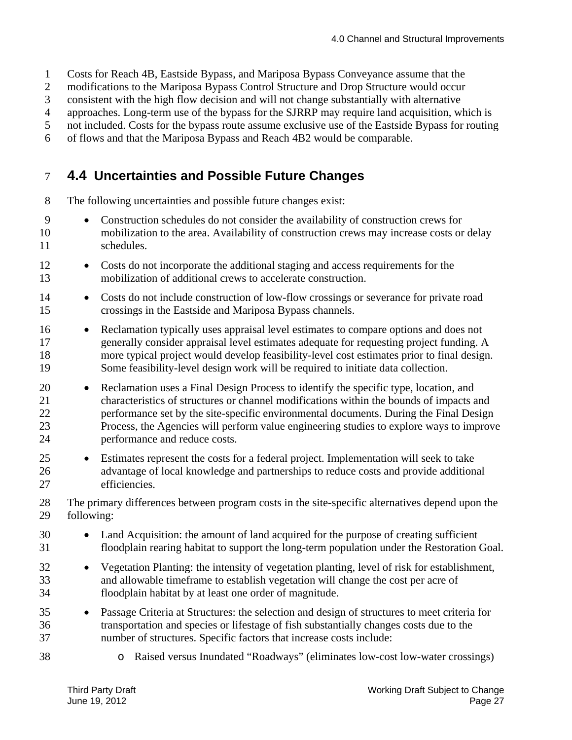1 Costs for Reach 4B, Eastside Bypass, and Mariposa Bypass Conveyance assume that the

- 2 modifications to the Mariposa Bypass Control Structure and Drop Structure would occur
- 3 consistent with the high flow decision and will not change substantially with alternative

4 approaches. Long-term use of the bypass for the SJRRP may require land acquisition, which is

5 not included. Costs for the bypass route assume exclusive use of the Eastside Bypass for routing

6 of flows and that the Mariposa Bypass and Reach 4B2 would be comparable.

### 7 **4.4 Uncertainties and Possible Future Changes**

8 The following uncertainties and possible future changes exist:

- 10 9 Construction schedules do not consider the availability of construction crews for mobilization to the area. Availability of construction crews may increase costs or delay 11 schedules.
- 12 Costs do not incorporate the additional staging and access requirements for the 13 mobilization of additional crews to accelerate construction.
- 15 14 • Costs do not include construction of low-flow crossings or severance for private road crossings in the Eastside and Mariposa Bypass channels.
- 16 Reclamation typically uses appraisal level estimates to compare options and does not 17 generally consider appraisal level estimates adequate for requesting project funding. A 18 more typical project would develop feasibility-level cost estimates prior to final design. 19 Some feasibility-level design work will be required to initiate data collection.
- 20 Reclamation uses a Final Design Process to identify the specific type, location, and 21 characteristics of structures or channel modifications within the bounds of impacts and 22 performance set by the site-specific environmental documents. During the Final Design 23 Process, the Agencies will perform value engineering studies to explore ways to improve 24 performance and reduce costs.
- 25 Estimates represent the costs for a federal project. Implementation will seek to take 26 advantage of local knowledge and partnerships to reduce costs and provide additional 27 efficiencies.
- 28 The primary differences between program costs in the site-specific alternatives depend upon the 29 following:
- 30 • Land Acquisition: the amount of land acquired for the purpose of creating sufficient 31 floodplain rearing habitat to support the long-term population under the Restoration Goal.
- 32 Vegetation Planting: the intensity of vegetation planting, level of risk for establishment, 33 and allowable timeframe to establish vegetation will change the cost per acre of 34 floodplain habitat by at least one order of magnitude.
- 35 Passage Criteria at Structures: the selection and design of structures to meet criteria for 36 transportation and species or lifestage of fish substantially changes costs due to the 37 number of structures. Specific factors that increase costs include:
- 
- 38 o Raised versus Inundated "Roadways" (eliminates low-cost low-water crossings)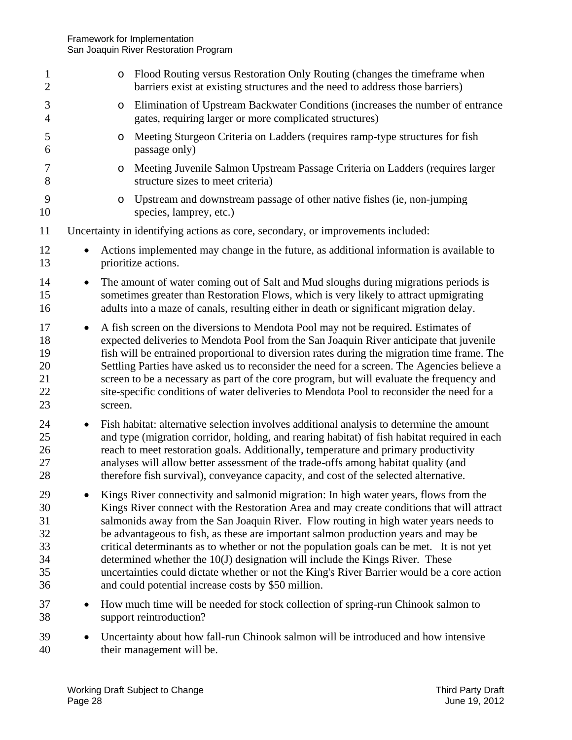| $\mathbf{1}$<br>$\overline{2}$               | $\circ$              | Flood Routing versus Restoration Only Routing (changes the timeframe when<br>barriers exist at existing structures and the need to address those barriers)                                                                                                                                                                                                                                                                                                                                                                                                                                                                                                                                        |
|----------------------------------------------|----------------------|---------------------------------------------------------------------------------------------------------------------------------------------------------------------------------------------------------------------------------------------------------------------------------------------------------------------------------------------------------------------------------------------------------------------------------------------------------------------------------------------------------------------------------------------------------------------------------------------------------------------------------------------------------------------------------------------------|
| 3<br>$\overline{4}$                          | $\circ$              | Elimination of Upstream Backwater Conditions (increases the number of entrance<br>gates, requiring larger or more complicated structures)                                                                                                                                                                                                                                                                                                                                                                                                                                                                                                                                                         |
| 5<br>6                                       | $\circ$              | Meeting Sturgeon Criteria on Ladders (requires ramp-type structures for fish<br>passage only)                                                                                                                                                                                                                                                                                                                                                                                                                                                                                                                                                                                                     |
| 7<br>8                                       | O                    | Meeting Juvenile Salmon Upstream Passage Criteria on Ladders (requires larger<br>structure sizes to meet criteria)                                                                                                                                                                                                                                                                                                                                                                                                                                                                                                                                                                                |
| 9<br>10                                      | $\circ$              | Upstream and downstream passage of other native fishes (ie, non-jumping<br>species, lamprey, etc.)                                                                                                                                                                                                                                                                                                                                                                                                                                                                                                                                                                                                |
| 11                                           |                      | Uncertainty in identifying actions as core, secondary, or improvements included:                                                                                                                                                                                                                                                                                                                                                                                                                                                                                                                                                                                                                  |
| 12<br>13                                     |                      | Actions implemented may change in the future, as additional information is available to<br>prioritize actions.                                                                                                                                                                                                                                                                                                                                                                                                                                                                                                                                                                                    |
| 14<br>15<br>16                               | $\bullet$            | The amount of water coming out of Salt and Mud sloughs during migrations periods is<br>sometimes greater than Restoration Flows, which is very likely to attract upmigrating<br>adults into a maze of canals, resulting either in death or significant migration delay.                                                                                                                                                                                                                                                                                                                                                                                                                           |
| 17<br>18<br>19<br>20<br>21<br>22<br>23       | $\bullet$<br>screen. | A fish screen on the diversions to Mendota Pool may not be required. Estimates of<br>expected deliveries to Mendota Pool from the San Joaquin River anticipate that juvenile<br>fish will be entrained proportional to diversion rates during the migration time frame. The<br>Settling Parties have asked us to reconsider the need for a screen. The Agencies believe a<br>screen to be a necessary as part of the core program, but will evaluate the frequency and<br>site-specific conditions of water deliveries to Mendota Pool to reconsider the need for a                                                                                                                               |
| 24<br>25<br>26<br>27<br>28                   |                      | Fish habitat: alternative selection involves additional analysis to determine the amount<br>and type (migration corridor, holding, and rearing habitat) of fish habitat required in each<br>reach to meet restoration goals. Additionally, temperature and primary productivity<br>analyses will allow better assessment of the trade-offs among habitat quality (and<br>therefore fish survival), conveyance capacity, and cost of the selected alternative.                                                                                                                                                                                                                                     |
| 29<br>30<br>31<br>32<br>33<br>34<br>35<br>36 |                      | Kings River connectivity and salmonid migration: In high water years, flows from the<br>Kings River connect with the Restoration Area and may create conditions that will attract<br>salmonids away from the San Joaquin River. Flow routing in high water years needs to<br>be advantageous to fish, as these are important salmon production years and may be<br>critical determinants as to whether or not the population goals can be met. It is not yet<br>determined whether the 10(J) designation will include the Kings River. These<br>uncertainties could dictate whether or not the King's River Barrier would be a core action<br>and could potential increase costs by \$50 million. |
| 37<br>38                                     |                      | How much time will be needed for stock collection of spring-run Chinook salmon to<br>support reintroduction?                                                                                                                                                                                                                                                                                                                                                                                                                                                                                                                                                                                      |
| 39<br>40                                     |                      | Uncertainty about how fall-run Chinook salmon will be introduced and how intensive<br>their management will be.                                                                                                                                                                                                                                                                                                                                                                                                                                                                                                                                                                                   |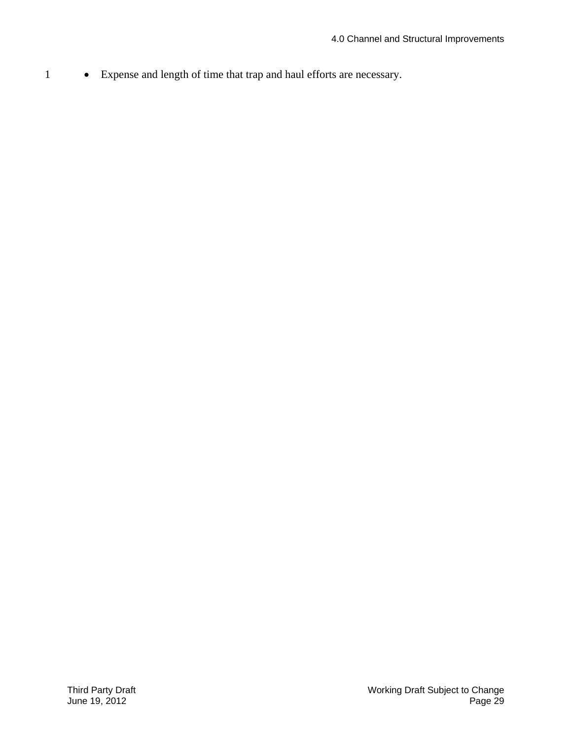1 Expense and length of time that trap and haul efforts are necessary.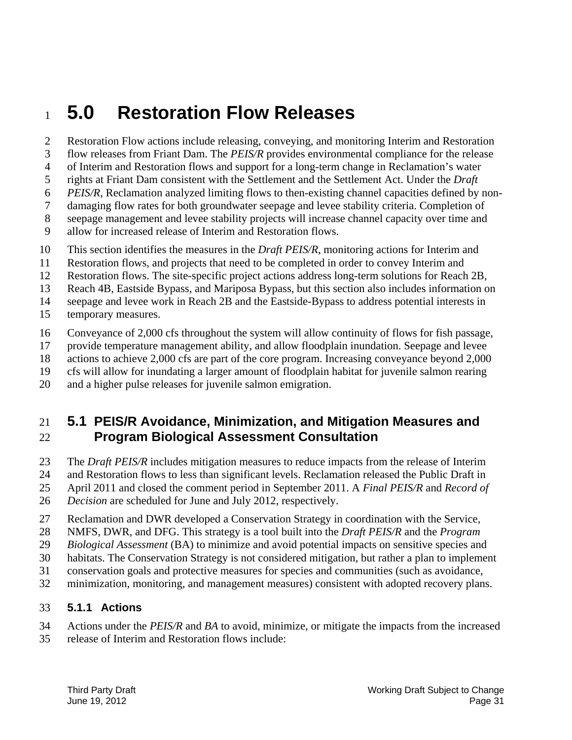# <sup>1</sup>**5.0 Restoration Flow Releases**

2 Restoration Flow actions include releasing, conveying, and monitoring Interim and Restoration 3 flow releases from Friant Dam. The *PEIS/R* provides environmental compliance for the release 4 of Interim and Restoration flows and support for a long-term change in Reclamation's water rights at Friant Dam consistent with the Settlement and the Settlement Act. Under the *Draft*  6 *PEIS/R*, Reclamation analyzed limiting flows to then-existing channel capacities defined by non-7 damaging flow rates for both groundwater seepage and levee stability criteria. Completion of 8 seepage management and levee stability projects will increase channel capacity over time and

- 9 allow for increased release of Interim and Restoration flows.
- 10 This section identifies the measures in the *Draft PEIS/R*, monitoring actions for Interim and
- 11 Restoration flows, and projects that need to be completed in order to convey Interim and
- 12 Restoration flows. The site-specific project actions address long-term solutions for Reach 2B,
- 13 Reach 4B, Eastside Bypass, and Mariposa Bypass, but this section also includes information on

14 seepage and levee work in Reach 2B and the Eastside-Bypass to address potential interests in

15 temporary measures.

5

- 16 Conveyance of 2,000 cfs throughout the system will allow continuity of flows for fish passage,
- 17 provide temperature management ability, and allow floodplain inundation. Seepage and levee
- 18 actions to achieve 2,000 cfs are part of the core program. Increasing conveyance beyond 2,000
- 19 cfs will allow for inundating a larger amount of floodplain habitat for juvenile salmon rearing
- 20 and a higher pulse releases for juvenile salmon emigration.

### 21 **5.1 PEIS/R Avoidance, Minimization, and Mitigation Measures and**  22 **Program Biological Assessment Consultation**

- 23 The *Draft PEIS/R* includes mitigation measures to reduce impacts from the release of Interim
- 24 and Restoration flows to less than significant levels. Reclamation released the Public Draft in
- 25 April 2011 and closed the comment period in September 2011. A *Final PEIS/R* and *Record of*
- 26 *Decision* are scheduled for June and July 2012, respectively.
- 27 Reclamation and DWR developed a Conservation Strategy in coordination with the Service,
- 28 NMFS, DWR, and DFG. This strategy is a tool built into the *Draft PEIS/R* and the *Program*
- 29 *Biological Assessment* (BA) to minimize and avoid potential impacts on sensitive species and
- 30 habitats. The Conservation Strategy is not considered mitigation, but rather a plan to implement
- 31 conservation goals and protective measures for species and communities (such as avoidance,
- 32 minimization, monitoring, and management measures) consistent with adopted recovery plans.

#### 33 **5.1.1 Actions**

- 34 Actions under the *PEIS/R* and *BA* to avoid, minimize, or mitigate the impacts from the increased
- 35 release of Interim and Restoration flows include: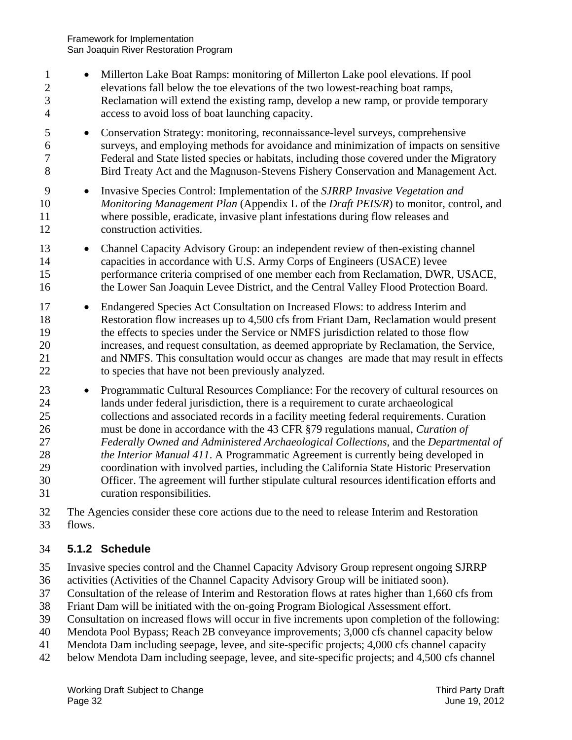- 5 10 15 20 25 30 1 **Millerton Lake Boat Ramps: monitoring of Millerton Lake pool elevations.** If pool 2 elevations fall below the toe elevations of the two lowest-reaching boat ramps, 3 Reclamation will extend the existing ramp, develop a new ramp, or provide temporary 4 access to avoid loss of boat launching capacity. Conservation Strategy: monitoring, reconnaissance-level surveys, comprehensive 6 surveys, and employing methods for avoidance and minimization of impacts on sensitive 7 Federal and State listed species or habitats, including those covered under the Migratory 8 Bird Treaty Act and the Magnuson-Stevens Fishery Conservation and Management Act. 9 Invasive Species Control: Implementation of the *SJRRP Invasive Vegetation and Monitoring Management Plan* (Appendix L of the *Draft PEIS/R*) to monitor, control, and 11 where possible, eradicate, invasive plant infestations during flow releases and 12 construction activities. 13 Channel Capacity Advisory Group: an independent review of then-existing channel 14 capacities in accordance with U.S. Army Corps of Engineers (USACE) levee performance criteria comprised of one member each from Reclamation, DWR, USACE, 16 the Lower San Joaquin Levee District, and the Central Valley Flood Protection Board. 17 Endangered Species Act Consultation on Increased Flows: to address Interim and 18 Restoration flow increases up to 4,500 cfs from Friant Dam, Reclamation would present 19 the effects to species under the Service or NMFS jurisdiction related to those flow increases, and request consultation, as deemed appropriate by Reclamation, the Service, 21 and NMFS. This consultation would occur as changes are made that may result in effects 22 to species that have not been previously analyzed. 23 • Programmatic Cultural Resources Compliance: For the recovery of cultural resources on 24 lands under federal jurisdiction, there is a requirement to curate archaeological collections and associated records in a facility meeting federal requirements. Curation 26 must be done in accordance with the 43 CFR §79 regulations manual, *Curation of*  27 *Federally Owned and Administered Archaeological Collections*, and the *Departmental of*  28 *the Interior Manual 411*. A Programmatic Agreement is currently being developed in 29 coordination with involved parties, including the California State Historic Preservation Officer. The agreement will further stipulate cultural resources identification efforts and 31 curation responsibilities.
- 32 The Agencies consider these core actions due to the need to release Interim and Restoration 33 flows.

### 34 **5.1.2 Schedule**

- 35 Invasive species control and the Channel Capacity Advisory Group represent ongoing SJRRP
- 36 activities (Activities of the Channel Capacity Advisory Group will be initiated soon).
- 37 Consultation of the release of Interim and Restoration flows at rates higher than 1,660 cfs from
- 38 Friant Dam will be initiated with the on-going Program Biological Assessment effort.
- 39 Consultation on increased flows will occur in five increments upon completion of the following:
- 40 Mendota Pool Bypass; Reach 2B conveyance improvements; 3,000 cfs channel capacity below
- 41 Mendota Dam including seepage, levee, and site-specific projects; 4,000 cfs channel capacity
- 42 below Mendota Dam including seepage, levee, and site-specific projects; and 4,500 cfs channel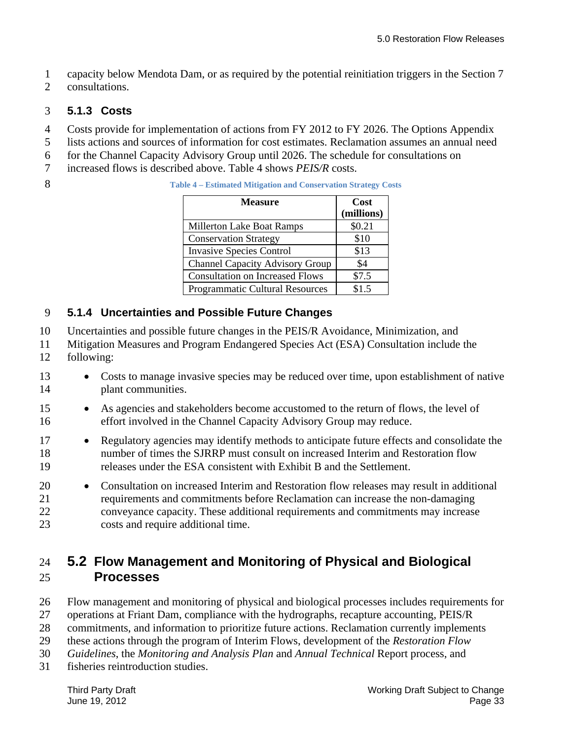1 capacity below Mendota Dam, or as required by the potential reinitiation triggers in the Section 7

2 consultations.

### 3 **5.1.3 Costs**

- 4 Costs provide for implementation of actions from FY 2012 to FY 2026. The Options Appendix
- 5 lists actions and sources of information for cost estimates. Reclamation assumes an annual need
- 6 for the Channel Capacity Advisory Group until 2026. The schedule for consultations on
- 7 increased flows is described above. Table 4 shows *PEIS/R* costs.
- 

| Measure                                | Cost<br>(millions) |
|----------------------------------------|--------------------|
| <b>Millerton Lake Boat Ramps</b>       | \$0.21             |
| <b>Conservation Strategy</b>           | \$10               |
| <b>Invasive Species Control</b>        | \$13               |
| <b>Channel Capacity Advisory Group</b> | \$4                |
| <b>Consultation on Increased Flows</b> | \$7.5              |
| <b>Programmatic Cultural Resources</b> | \$1.5              |

### 9 **5.1.4 Uncertainties and Possible Future Changes**

- 10 Uncertainties and possible future changes in the PEIS/R Avoidance, Minimization, and
- 11 Mitigation Measures and Program Endangered Species Act (ESA) Consultation include the
- 12 following:
- 13 Costs to manage invasive species may be reduced over time, upon establishment of native 14 plant communities.
- 15 As agencies and stakeholders become accustomed to the return of flows, the level of 16 effort involved in the Channel Capacity Advisory Group may reduce.
- 17 **•** Regulatory agencies may identify methods to anticipate future effects and consolidate the 18 number of times the SJRRP must consult on increased Interim and Restoration flow 19 releases under the ESA consistent with Exhibit B and the Settlement.
- 20 Consultation on increased Interim and Restoration flow releases may result in additional 21 requirements and commitments before Reclamation can increase the non-damaging 22 conveyance capacity. These additional requirements and commitments may increase 23 costs and require additional time.

### 24 **5.2 Flow Management and Monitoring of Physical and Biological**  25 **Processes**

- 26 Flow management and monitoring of physical and biological processes includes requirements for
- 27 operations at Friant Dam, compliance with the hydrographs, recapture accounting, PEIS/R
- 28 commitments, and information to prioritize future actions. Reclamation currently implements
- 29 these actions through the program of Interim Flows, development of the *Restoration Flow*
- 30 *Guidelines*, the *Monitoring and Analysis Plan* and *Annual Technical* Report process, and
- 31 fisheries reintroduction studies.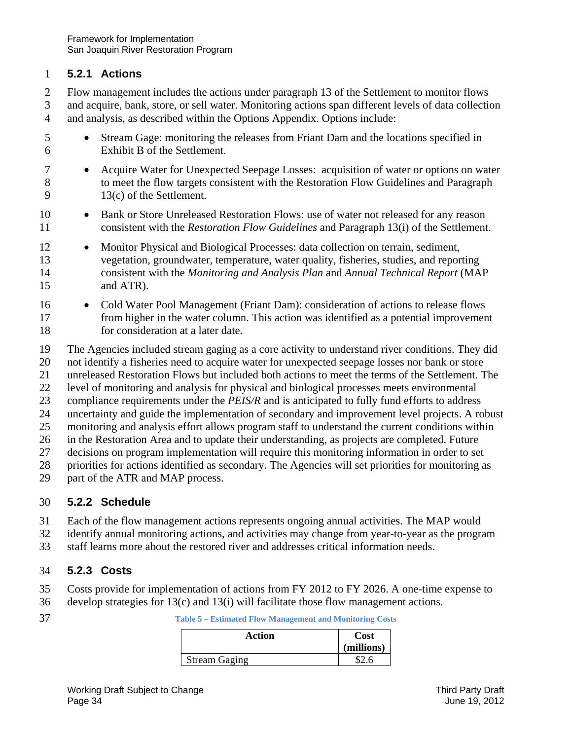#### 1 **5.2.1 Actions**

2 Flow management includes the actions under paragraph 13 of the Settlement to monitor flows 3 and acquire, bank, store, or sell water. Monitoring actions span different levels of data collection 4 and analysis, as described within the Options Appendix. Options include:

- 5 Stream Gage: monitoring the releases from Friant Dam and the locations specified in 6 Exhibit B of the Settlement.
- <sup>7</sup> Acquire Water for Unexpected Seepage Losses: acquisition of water or options on water 8 to meet the flow targets consistent with the Restoration Flow Guidelines and Paragraph 9 13(c) of the Settlement.
- 10 Bank or Store Unreleased Restoration Flows: use of water not released for any reason 11 consistent with the *Restoration Flow Guidelines* and Paragraph 13(i) of the Settlement.
- 15 12 • Monitor Physical and Biological Processes: data collection on terrain, sediment, 13 vegetation, groundwater, temperature, water quality, fisheries, studies, and reporting 14 consistent with the *Monitoring and Analysis Plan* and *Annual Technical Report* (MAP and ATR).
- 16 Cold Water Pool Management (Friant Dam): consideration of actions to release flows 17 from higher in the water column. This action was identified as a potential improvement 18 for consideration at a later date.
- 19 The Agencies included stream gaging as a core activity to understand river conditions. They did
- 20 not identify a fisheries need to acquire water for unexpected seepage losses nor bank or store
- 21 unreleased Restoration Flows but included both actions to meet the terms of the Settlement. The
- 22 level of monitoring and analysis for physical and biological processes meets environmental
- 23 compliance requirements under the *PEIS/R* and is anticipated to fully fund efforts to address
- 24 uncertainty and guide the implementation of secondary and improvement level projects. A robust
- 25 monitoring and analysis effort allows program staff to understand the current conditions within
- 26 in the Restoration Area and to update their understanding, as projects are completed. Future
- 27 decisions on program implementation will require this monitoring information in order to set
- 28 priorities for actions identified as secondary. The Agencies will set priorities for monitoring as
- 29 part of the ATR and MAP process.

#### 30 **5.2.2 Schedule**

- 31 Each of the flow management actions represents ongoing annual activities. The MAP would
- 32 identify annual monitoring actions, and activities may change from year-to-year as the program
- 33 staff learns more about the restored river and addresses critical information needs.

#### 34 **5.2.3 Costs**

- 35 Costs provide for implementation of actions from FY 2012 to FY 2026. A one-time expense to
- 36 develop strategies for 13(c) and 13(i) will facilitate those flow management actions.
- 

| Action               | Cost       |
|----------------------|------------|
|                      | (millions) |
| <b>Stream Gaging</b> |            |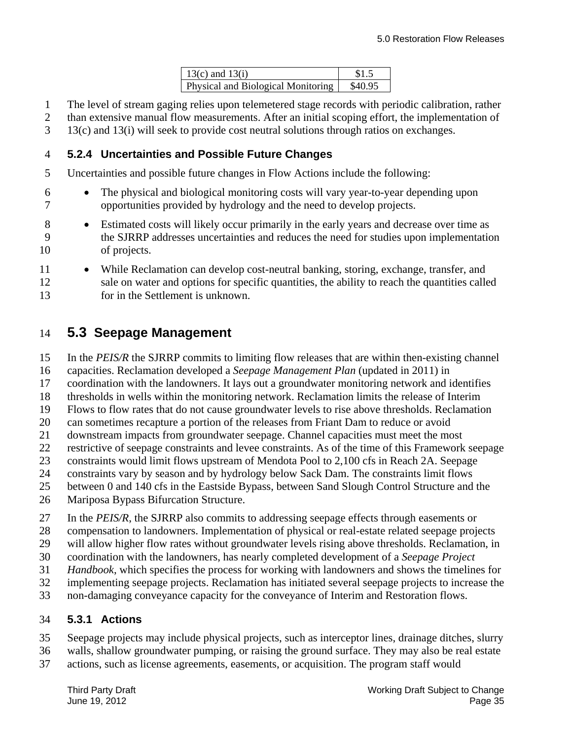| $13(c)$ and $13(i)$                | \$1.5   |
|------------------------------------|---------|
| Physical and Biological Monitoring | \$40.95 |

- 1 The level of stream gaging relies upon telemetered stage records with periodic calibration, rather
- 2 than extensive manual flow measurements. After an initial scoping effort, the implementation of
- 3 13(c) and 13(i) will seek to provide cost neutral solutions through ratios on exchanges.

#### 4 **5.2.4 Uncertainties and Possible Future Changes**

- 5 Uncertainties and possible future changes in Flow Actions include the following:
- 6 The physical and biological monitoring costs will vary year-to-year depending upon 7 opportunities provided by hydrology and the need to develop projects.
- 10 8 • Estimated costs will likely occur primarily in the early years and decrease over time as 9 the SJRRP addresses uncertainties and reduces the need for studies upon implementation of projects.
- 11 While Reclamation can develop cost-neutral banking, storing, exchange, transfer, and 12 sale on water and options for specific quantities, the ability to reach the quantities called 13 for in the Settlement is unknown.

### 14 **5.3 Seepage Management**

- 15 In the *PEIS/R* the SJRRP commits to limiting flow releases that are within then-existing channel
- 16 capacities. Reclamation developed a *Seepage Management Plan* (updated in 2011) in
- 17 coordination with the landowners. It lays out a groundwater monitoring network and identifies
- 18 thresholds in wells within the monitoring network. Reclamation limits the release of Interim
- 19 Flows to flow rates that do not cause groundwater levels to rise above thresholds. Reclamation
- 20 can sometimes recapture a portion of the releases from Friant Dam to reduce or avoid
- 21 downstream impacts from groundwater seepage. Channel capacities must meet the most
- 22 restrictive of seepage constraints and levee constraints. As of the time of this Framework seepage
- 23 constraints would limit flows upstream of Mendota Pool to 2,100 cfs in Reach 2A. Seepage 24 constraints vary by season and by hydrology below Sack Dam. The constraints limit flows
- 
- 25 between 0 and 140 cfs in the Eastside Bypass, between Sand Slough Control Structure and the
- 26 Mariposa Bypass Bifurcation Structure.
- 27 In the *PEIS/R*, the SJRRP also commits to addressing seepage effects through easements or
- 28 compensation to landowners. Implementation of physical or real-estate related seepage projects
- 29 will allow higher flow rates without groundwater levels rising above thresholds. Reclamation, in
- 30 coordination with the landowners, has nearly completed development of a *Seepage Project*
- 31 *Handbook*, which specifies the process for working with landowners and shows the timelines for
- 32 implementing seepage projects. Reclamation has initiated several seepage projects to increase the
- 33 non-damaging conveyance capacity for the conveyance of Interim and Restoration flows.

### 34 **5.3.1 Actions**

- 35 Seepage projects may include physical projects, such as interceptor lines, drainage ditches, slurry
- 36 walls, shallow groundwater pumping, or raising the ground surface. They may also be real estate
- 37 actions, such as license agreements, easements, or acquisition. The program staff would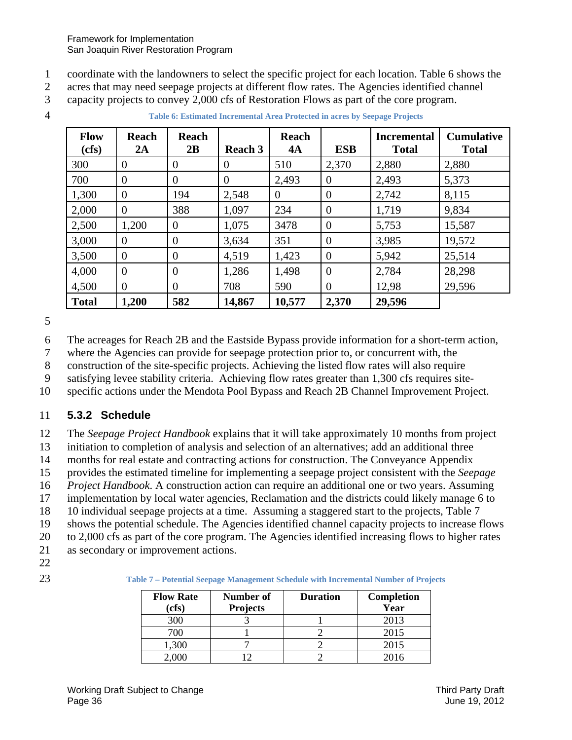- 1 coordinate with the landowners to select the specific project for each location. Table 6 shows the
- 2 acres that may need seepage projects at different flow rates. The Agencies identified channel
- 3 capacity projects to convey 2,000 cfs of Restoration Flows as part of the core program.
- 

|  | <b>Table 6: Estimated Incremental Area Protected in acres by Seepage Projects</b> |
|--|-----------------------------------------------------------------------------------|
|--|-----------------------------------------------------------------------------------|

| <b>Flow</b><br>(cfs) | <b>Reach</b><br>2A | <b>Reach</b><br>2B | <b>Reach 3</b> | <b>Reach</b><br>4A | <b>ESB</b>       | <b>Incremental</b><br><b>Total</b> | <b>Cumulative</b><br><b>Total</b> |
|----------------------|--------------------|--------------------|----------------|--------------------|------------------|------------------------------------|-----------------------------------|
| 300                  | $\overline{0}$     | $\boldsymbol{0}$   | $\overline{0}$ | 510                | 2,370            | 2,880                              | 2,880                             |
| 700                  | $\theta$           | $\overline{0}$     | $\Omega$       | 2,493              | $\overline{0}$   | 2,493                              | 5,373                             |
| 1,300                | $\overline{0}$     | 194                | 2,548          | $\theta$           | $\overline{0}$   | 2,742                              | 8,115                             |
| 2,000                | $\overline{0}$     | 388                | 1,097          | 234                | $\boldsymbol{0}$ | 1,719                              | 9,834                             |
| 2,500                | 1,200              | $\theta$           | 1,075          | 3478               | $\boldsymbol{0}$ | 5,753                              | 15,587                            |
| 3,000                | 0                  | $\overline{0}$     | 3,634          | 351                | $\overline{0}$   | 3,985                              | 19,572                            |
| 3,500                | $\overline{0}$     | $\overline{0}$     | 4,519          | 1,423              | $\overline{0}$   | 5,942                              | 25,514                            |
| 4,000                | $\overline{0}$     | $\overline{0}$     | 1,286          | 1,498              | $\theta$         | 2,784                              | 28,298                            |
| 4,500                | $\theta$           | $\Omega$           | 708            | 590                | $\overline{0}$   | 12,98                              | 29,596                            |
| <b>Total</b>         | 1,200              | 582                | 14,867         | 10,577             | 2,370            | 29,596                             |                                   |

6 The acreages for Reach 2B and the Eastside Bypass provide information for a short-term action,

7 where the Agencies can provide for seepage protection prior to, or concurrent with, the

8 construction of the site-specific projects. Achieving the listed flow rates will also require

9 satisfying levee stability criteria. Achieving flow rates greater than 1,300 cfs requires site-

10 specific actions under the Mendota Pool Bypass and Reach 2B Channel Improvement Project.

### 11 **5.3.2 Schedule**

12 The *Seepage Project Handbook* explains that it will take approximately 10 months from project

13 initiation to completion of analysis and selection of an alternatives; add an additional three

14 months for real estate and contracting actions for construction. The Conveyance Appendix

15 provides the estimated timeline for implementing a seepage project consistent with the *Seepage* 

16 *Project Handbook*. A construction action can require an additional one or two years. Assuming

17 implementation by local water agencies, Reclamation and the districts could likely manage 6 to

18 10 individual seepage projects at a time. Assuming a staggered start to the projects, Table 7

19 shows the potential schedule. The Agencies identified channel capacity projects to increase flows

- 20 to 2,000 cfs as part of the core program. The Agencies identified increasing flows to higher rates
- 21 as secondary or improvement actions.
- 22
- 

23 **Table 7 – Potential Seepage Management Schedule with Incremental Number of Projects** 

| <b>Flow Rate</b> | Number of<br><b>Duration</b> |  | Completion |
|------------------|------------------------------|--|------------|
| (cfs)            | <b>Projects</b>              |  | Year       |
| 300              |                              |  | 2013       |
| 700              |                              |  | 2015       |
| 1,300            |                              |  | 2015       |
|                  |                              |  | 2016       |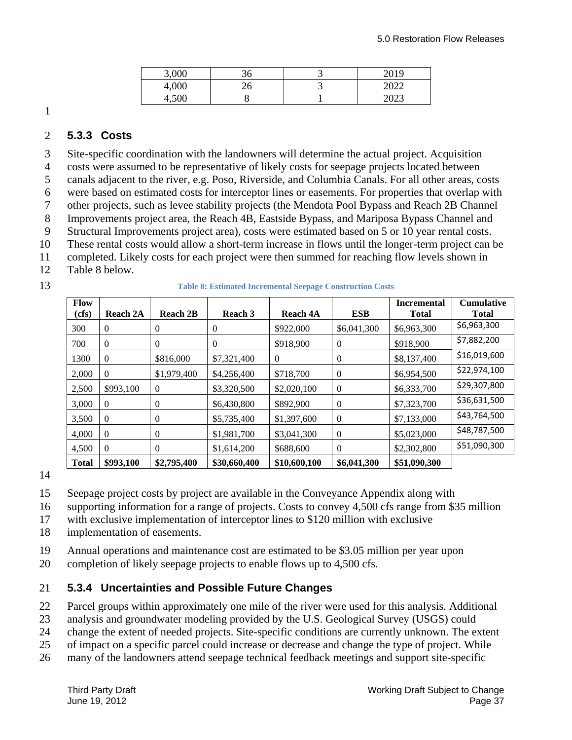| 3,000   | JU       | 2019<br>⊸                         |
|---------|----------|-----------------------------------|
| 4,000   | ⌒ ╭<br>- | 0.000<br>$\overline{\phantom{a}}$ |
| $+,000$ |          | $\Omega$<br>ت کا کا ک             |

#### 2 **5.3.3 Costs**

3 Site-specific coordination with the landowners will determine the actual project. Acquisition

4 costs were assumed to be representative of likely costs for seepage projects located between

5 canals adjacent to the river, e.g. Poso, Riverside, and Columbia Canals. For all other areas, costs

6 were based on estimated costs for interceptor lines or easements. For properties that overlap with

7 other projects, such as levee stability projects (the Mendota Pool Bypass and Reach 2B Channel

8 Improvements project area, the Reach 4B, Eastside Bypass, and Mariposa Bypass Channel and

9 Structural Improvements project area), costs were estimated based on 5 or 10 year rental costs.

10 These rental costs would allow a short-term increase in flows until the longer-term project can be

- 11 completed. Likely costs for each project were then summed for reaching flow levels shown in
- 12 Table 8 below.
- 

13 **Table 8: Estimated Incremental Seepage Construction Costs** 

| Flow<br>(cfs) | <b>Reach 2A</b> | <b>Reach 2B</b> | Reach 3      | Reach 4A     | <b>ESB</b>       | <b>Incremental</b><br><b>Total</b> | <b>Cumulative</b><br>Total |
|---------------|-----------------|-----------------|--------------|--------------|------------------|------------------------------------|----------------------------|
| 300           | $\theta$        | $\overline{0}$  | 0            | \$922,000    | \$6,041,300      | \$6,963,300                        | \$6,963,300                |
| 700           | $\overline{0}$  | $\overline{0}$  | 0            | \$918,900    | $\boldsymbol{0}$ | \$918,900                          | \$7,882,200                |
| 1300          | $\overline{0}$  | \$816,000       | \$7,321,400  | 0            | $\theta$         | \$8,137,400                        | \$16,019,600               |
| 2,000         | $\theta$        | \$1,979,400     | \$4,256,400  | \$718,700    | $\theta$         | \$6,954,500                        | \$22,974,100               |
| 2,500         | \$993,100       | $\theta$        | \$3,320,500  | \$2,020,100  | $\theta$         | \$6,333,700                        | \$29,307,800               |
| 3.000         | $\Omega$        | $\overline{0}$  | \$6,430,800  | \$892,900    | $\theta$         | \$7,323,700                        | \$36,631,500               |
| 3.500         | $\theta$        | $\theta$        | \$5,735,400  | \$1,397,600  | $\theta$         | \$7,133,000                        | \$43,764,500               |
| 4,000         | $\Omega$        | $\overline{0}$  | \$1,981,700  | \$3,041,300  | $\theta$         | \$5,023,000                        | \$48,787,500               |
| 4.500         | $\Omega$        | $\overline{0}$  | \$1,614,200  | \$688,600    | $\theta$         | \$2,302,800                        | \$51,090,300               |
| <b>Total</b>  | \$993,100       | \$2,795,400     | \$30,660,400 | \$10,600,100 | \$6,041,300      | \$51,090,300                       |                            |

14

15 Seepage project costs by project are available in the Conveyance Appendix along with

16 supporting information for a range of projects. Costs to convey 4,500 cfs range from \$35 million

- 17 with exclusive implementation of interceptor lines to \$120 million with exclusive
- 18 implementation of easements.

19 Annual operations and maintenance cost are estimated to be \$3.05 million per year upon

20 completion of likely seepage projects to enable flows up to 4,500 cfs.

#### 21 **5.3.4 Uncertainties and Possible Future Changes**

22 Parcel groups within approximately one mile of the river were used for this analysis. Additional

23 analysis and groundwater modeling provided by the U.S. Geological Survey (USGS) could

24 change the extent of needed projects. Site-specific conditions are currently unknown. The extent

25 of impact on a specific parcel could increase or decrease and change the type of project. While

26 many of the landowners attend seepage technical feedback meetings and support site-specific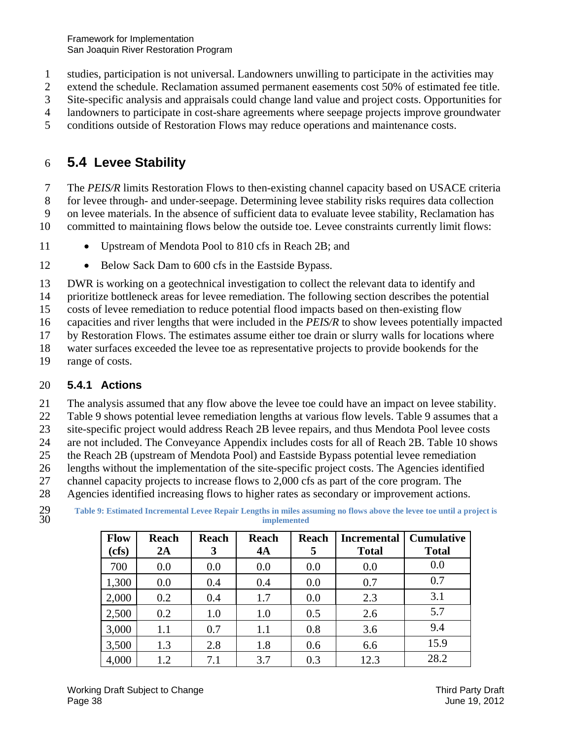Framework for Implementation San Joaquin River Restoration Program

- 1 studies, participation is not universal. Landowners unwilling to participate in the activities may
- 2 extend the schedule. Reclamation assumed permanent easements cost 50% of estimated fee title.
- 3 Site-specific analysis and appraisals could change land value and project costs. Opportunities for
- 4 landowners to participate in cost-share agreements where seepage projects improve groundwater
- 5 conditions outside of Restoration Flows may reduce operations and maintenance costs.

## 6 **5.4 Levee Stability**

7 The *PEIS/R* limits Restoration Flows to then-existing channel capacity based on USACE criteria 8 for levee through- and under-seepage. Determining levee stability risks requires data collection 9 on levee materials. In the absence of sufficient data to evaluate levee stability, Reclamation has 10 committed to maintaining flows below the outside toe. Levee constraints currently limit flows:

- 11 Upstream of Mendota Pool to 810 cfs in Reach 2B; and
- 12 **Below Sack Dam to 600 cfs in the Eastside Bypass.**

13 DWR is working on a geotechnical investigation to collect the relevant data to identify and

14 prioritize bottleneck areas for levee remediation. The following section describes the potential

15 costs of levee remediation to reduce potential flood impacts based on then-existing flow

16 capacities and river lengths that were included in the *PEIS/R* to show levees potentially impacted

- 17 by Restoration Flows. The estimates assume either toe drain or slurry walls for locations where
- 18 water surfaces exceeded the levee toe as representative projects to provide bookends for the
- 19 range of costs.

### 20 **5.4.1 Actions**

21 The analysis assumed that any flow above the levee toe could have an impact on levee stability.

22 Table 9 shows potential levee remediation lengths at various flow levels. Table 9 assumes that a

23 site-specific project would address Reach 2B levee repairs, and thus Mendota Pool levee costs

24 are not included. The Conveyance Appendix includes costs for all of Reach 2B. Table 10 shows

25 the Reach 2B (upstream of Mendota Pool) and Eastside Bypass potential levee remediation

26 lengths without the implementation of the site-specific project costs. The Agencies identified

27 channel capacity projects to increase flows to 2,000 cfs as part of the core program. The

28 Agencies identified increasing flows to higher rates as secondary or improvement actions.

 29 **Table 9: Estimated Incremental Levee Repair Lengths in miles assuming no flows above the levee toe until a project is**  30 **implemented** 

| <b>Flow</b><br>(cfs) | <b>Reach</b><br>2A | <b>Reach</b><br>3 | <b>Reach</b><br>4A | Reach<br>5 | <b>Incremental</b><br><b>Total</b> | <b>Cumulative</b><br><b>Total</b> |
|----------------------|--------------------|-------------------|--------------------|------------|------------------------------------|-----------------------------------|
| 700                  | 0.0                | 0.0               | 0.0                | 0.0        | 0.0                                | 0.0                               |
| 1,300                | 0.0                | 0.4               | 0.4                | 0.0        | 0.7                                | 0.7                               |
| 2,000                | 0.2                | 0.4               | 1.7                | 0.0        | 2.3                                | 3.1                               |
| 2,500                | 0.2                | 1.0               | 1.0                | 0.5        | 2.6                                | 5.7                               |
| 3,000                | 1.1                | 0.7               | 1.1                | 0.8        | 3.6                                | 9.4                               |
| 3,500                | 1.3                | 2.8               | 1.8                | 0.6        | 6.6                                | 15.9                              |
| 4,000                | 1.2                | 7.1               | 3.7                | 0.3        | 12.3                               | 28.2                              |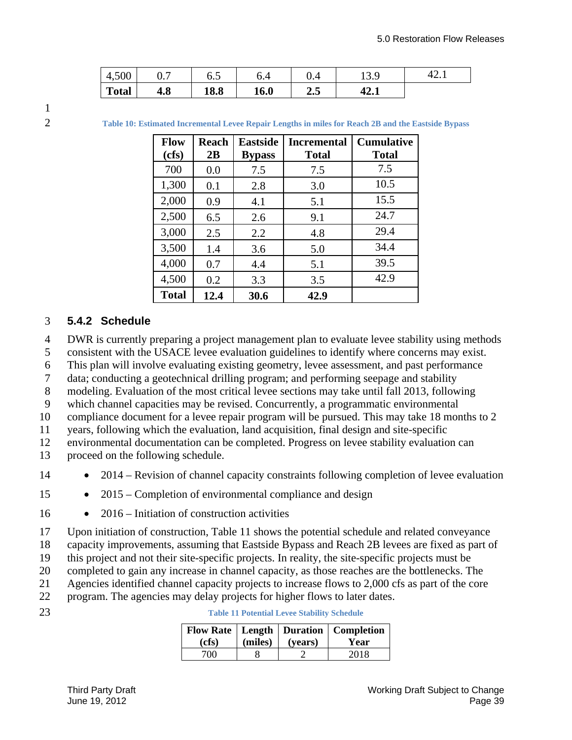| 4,500        | v. 1 | 6.J                 | ∪.−  | ∪.4 | 1 J . J | י<br>14.I |
|--------------|------|---------------------|------|-----|---------|-----------|
| <b>Total</b> | 4.0  | <b>10 0</b><br>10.0 | 16.0 | 2.5 | 44.L    |           |

2 **Table 10: Estimated Incremental Levee Repair Lengths in miles for Reach 2B and the Eastside Bypass** 

| <b>Flow</b><br>(cfs) | <b>Reach</b><br>2B | <b>Eastside</b><br><b>Bypass</b> | <b>Incremental</b><br><b>Total</b> | <b>Cumulative</b><br><b>Total</b> |
|----------------------|--------------------|----------------------------------|------------------------------------|-----------------------------------|
| 700                  | 0.0                | 7.5                              | 7.5                                | 7.5                               |
| 1,300                | 0.1                | 2.8                              | 3.0                                | 10.5                              |
| 2,000                | 0.9                | 4.1                              | 5.1                                | 15.5                              |
| 2,500                | 6.5                | 2.6                              | 9.1                                | 24.7                              |
| 3,000                | 2.5                | 2.2                              | 4.8                                | 29.4                              |
| 3,500                | 1.4                | 3.6                              | 5.0                                | 34.4                              |
| 4,000                | 0.7                | 4.4                              | 5.1                                | 39.5                              |
| 4,500                | 0.2                | 3.3                              | 3.5                                | 42.9                              |
| <b>Total</b>         | 12.4               | 30.6                             | 42.9                               |                                   |

#### 3 **5.4.2 Schedule**

4 DWR is currently preparing a project management plan to evaluate levee stability using methods

- 5 consistent with the USACE levee evaluation guidelines to identify where concerns may exist.
- 6 This plan will involve evaluating existing geometry, levee assessment, and past performance
- 7 data; conducting a geotechnical drilling program; and performing seepage and stability
- 8 modeling. Evaluation of the most critical levee sections may take until fall 2013, following
- 9 which channel capacities may be revised. Concurrently, a programmatic environmental
- 10 compliance document for a levee repair program will be pursued. This may take 18 months to 2

11 years, following which the evaluation, land acquisition, final design and site-specific

- 12 environmental documentation can be completed. Progress on levee stability evaluation can
- 13 proceed on the following schedule.
- 14 **•** 2014 Revision of channel capacity constraints following completion of levee evaluation
- 15 **•** 2015 Completion of environmental compliance and design
- 16 **•** 2016 Initiation of construction activities
- 17 Upon initiation of construction, Table 11 shows the potential schedule and related conveyance
- 18 capacity improvements, assuming that Eastside Bypass and Reach 2B levees are fixed as part of
- 19 this project and not their site-specific projects. In reality, the site-specific projects must be
- 20 completed to gain any increase in channel capacity, as those reaches are the bottlenecks. The
- 21 Agencies identified channel capacity projects to increase flows to 2,000 cfs as part of the core
- 22 program. The agencies may delay projects for higher flows to later dates.
- 

| (cfs) | (miles) (years) | Flow Rate   Length   Duration   Completion  <br>Year |
|-------|-----------------|------------------------------------------------------|
| 700-  |                 | 2018                                                 |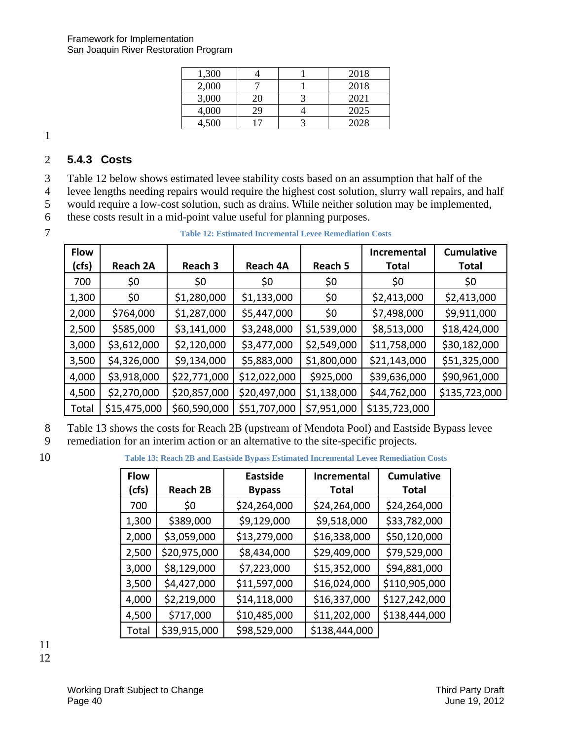| 1,300 |    | 2018 |
|-------|----|------|
| 2,000 |    | 2018 |
| 3,000 | 20 | 2021 |
| 4,000 | 29 | 2025 |
| 4,500 |    | 2028 |

### 2 **5.4.3 Costs**

3 Table 12 below shows estimated levee stability costs based on an assumption that half of the

4 levee lengths needing repairs would require the highest cost solution, slurry wall repairs, and half

5 would require a low-cost solution, such as drains. While neither solution may be implemented,

6 these costs result in a mid-point value useful for planning purposes.

 7 **Table 12: Estimated Incremental Levee Remediation Costs** 

| <b>Flow</b> |                 |              |                 |             | <b>Incremental</b> | <b>Cumulative</b> |
|-------------|-----------------|--------------|-----------------|-------------|--------------------|-------------------|
| (cfs)       | <b>Reach 2A</b> | Reach 3      | <b>Reach 4A</b> | Reach 5     | <b>Total</b>       | <b>Total</b>      |
| 700         | \$0             | \$0          | \$0             | \$0         | \$0                | \$0               |
| 1,300       | \$0             | \$1,280,000  | \$1,133,000     | \$0         | \$2,413,000        | \$2,413,000       |
| 2,000       | \$764,000       | \$1,287,000  | \$5,447,000     | \$0         | \$7,498,000        | \$9,911,000       |
| 2,500       | \$585,000       | \$3,141,000  | \$3,248,000     | \$1,539,000 | \$8,513,000        | \$18,424,000      |
| 3,000       | \$3,612,000     | \$2,120,000  | \$3,477,000     | \$2,549,000 | \$11,758,000       | \$30,182,000      |
| 3,500       | \$4,326,000     | \$9,134,000  | \$5,883,000     | \$1,800,000 | \$21,143,000       | \$51,325,000      |
| 4,000       | \$3,918,000     | \$22,771,000 | \$12,022,000    | \$925,000   | \$39,636,000       | \$90,961,000      |
| 4,500       | \$2,270,000     | \$20,857,000 | \$20,497,000    | \$1,138,000 | \$44,762,000       | \$135,723,000     |
| Total       | \$15,475,000    | \$60,590,000 | \$51,707,000    | \$7,951,000 | \$135,723,000      |                   |

8 Table 13 shows the costs for Reach 2B (upstream of Mendota Pool) and Eastside Bypass levee

9 remediation for an interim action or an alternative to the site-specific projects.

10 **Table 13: Reach 2B and Eastside Bypass Estimated Incremental Levee Remediation Costs** 

| <b>Flow</b> |                 | <b>Eastside</b> | <b>Incremental</b> | <b>Cumulative</b> |
|-------------|-----------------|-----------------|--------------------|-------------------|
| (cfs)       | <b>Reach 2B</b> | <b>Bypass</b>   | <b>Total</b>       | <b>Total</b>      |
| 700         | \$0             | \$24,264,000    | \$24,264,000       | \$24,264,000      |
| 1,300       | \$389,000       | \$9,129,000     | \$9,518,000        | \$33,782,000      |
| 2,000       | \$3,059,000     | \$13,279,000    | \$16,338,000       | \$50,120,000      |
| 2,500       | \$20,975,000    | \$8,434,000     | \$29,409,000       | \$79,529,000      |
| 3,000       | \$8,129,000     | \$7,223,000     | \$15,352,000       | \$94,881,000      |
| 3,500       | \$4,427,000     | \$11,597,000    | \$16,024,000       | \$110,905,000     |
| 4,000       | \$2,219,000     | \$14,118,000    | \$16,337,000       | \$127,242,000     |
| 4,500       | \$717,000       | \$10,485,000    | \$11,202,000       | \$138,444,000     |
| Total       | \$39,915,000    | \$98,529,000    | \$138,444,000      |                   |

11 12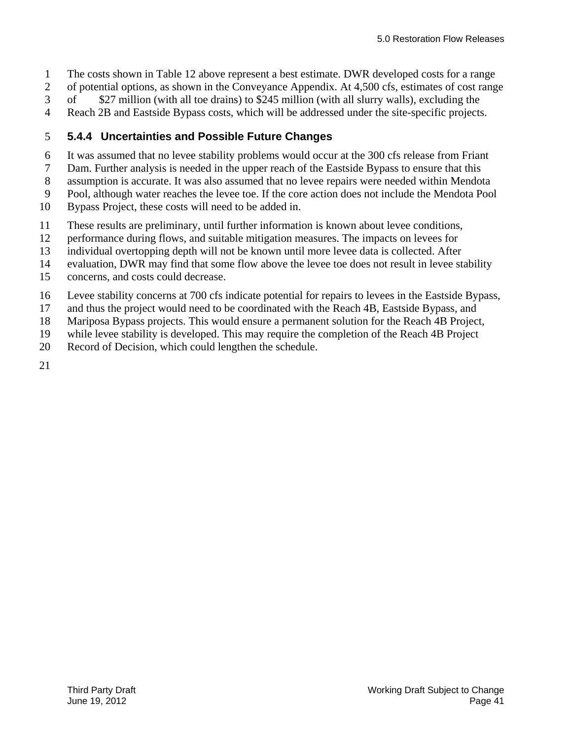- 1 The costs shown in Table 12 above represent a best estimate. DWR developed costs for a range
- 2 of potential options, as shown in the Conveyance Appendix. At 4,500 cfs, estimates of cost range
- 3 of \$27 million (with all toe drains) to \$245 million (with all slurry walls), excluding the
- 4 Reach 2B and Eastside Bypass costs, which will be addressed under the site-specific projects.

### 5 **5.4.4 Uncertainties and Possible Future Changes**

- 6 It was assumed that no levee stability problems would occur at the 300 cfs release from Friant
- 7 Dam. Further analysis is needed in the upper reach of the Eastside Bypass to ensure that this
- 8 assumption is accurate. It was also assumed that no levee repairs were needed within Mendota
- 9 Pool, although water reaches the levee toe. If the core action does not include the Mendota Pool
- 10 Bypass Project, these costs will need to be added in.
- 11 These results are preliminary, until further information is known about levee conditions,
- 12 performance during flows, and suitable mitigation measures. The impacts on levees for
- 13 individual overtopping depth will not be known until more levee data is collected. After
- 14 evaluation, DWR may find that some flow above the levee toe does not result in levee stability
- 15 concerns, and costs could decrease.
- 16 Levee stability concerns at 700 cfs indicate potential for repairs to levees in the Eastside Bypass,
- 17 and thus the project would need to be coordinated with the Reach 4B, Eastside Bypass, and
- 18 Mariposa Bypass projects. This would ensure a permanent solution for the Reach 4B Project,
- 19 while levee stability is developed. This may require the completion of the Reach 4B Project
- 20 Record of Decision, which could lengthen the schedule.

21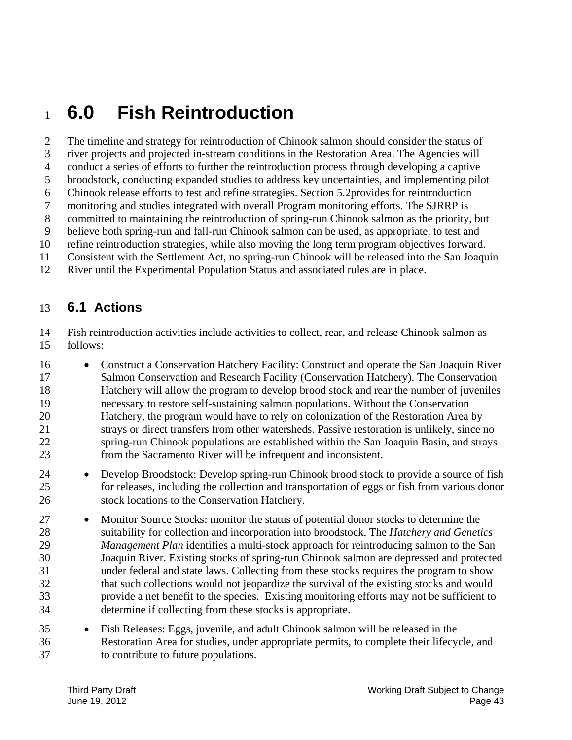# <sup>1</sup>**6.0 Fish Reintroduction**

5 10 2 The timeline and strategy for reintroduction of Chinook salmon should consider the status of 3 river projects and projected in-stream conditions in the Restoration Area. The Agencies will 4 conduct a series of efforts to further the reintroduction process through developing a captive broodstock, conducting expanded studies to address key uncertainties, and implementing pilot 6 Chinook release efforts to test and refine strategies. Section 5.2provides for reintroduction 7 monitoring and studies integrated with overall Program monitoring efforts. The SJRRP is 8 committed to maintaining the reintroduction of spring-run Chinook salmon as the priority, but 9 believe both spring-run and fall-run Chinook salmon can be used, as appropriate, to test and refine reintroduction strategies, while also moving the long term program objectives forward. 11 Consistent with the Settlement Act, no spring-run Chinook will be released into the San Joaquin

12 River until the Experimental Population Status and associated rules are in place.

### 13 **6.1 Actions**

15 14 Fish reintroduction activities include activities to collect, rear, and release Chinook salmon as follows:

- 20 16 • Construct a Conservation Hatchery Facility: Construct and operate the San Joaquin River 17 Salmon Conservation and Research Facility (Conservation Hatchery). The Conservation 18 Hatchery will allow the program to develop brood stock and rear the number of juveniles 19 necessary to restore self-sustaining salmon populations. Without the Conservation Hatchery, the program would have to rely on colonization of the Restoration Area by 21 strays or direct transfers from other watersheds. Passive restoration is unlikely, since no 22 spring-run Chinook populations are established within the San Joaquin Basin, and strays 23 from the Sacramento River will be infrequent and inconsistent.
- 25 24 Develop Broodstock: Develop spring-run Chinook brood stock to provide a source of fish for releases, including the collection and transportation of eggs or fish from various donor 26 stock locations to the Conservation Hatchery.
- 30 27 • Monitor Source Stocks: monitor the status of potential donor stocks to determine the 28 suitability for collection and incorporation into broodstock. The *Hatchery and Genetics*  29 *Management Plan* identifies a multi-stock approach for reintroducing salmon to the San Joaquin River. Existing stocks of spring-run Chinook salmon are depressed and protected 31 under federal and state laws. Collecting from these stocks requires the program to show 32 that such collections would not jeopardize the survival of the existing stocks and would 33 provide a net benefit to the species. Existing monitoring efforts may not be sufficient to 34 determine if collecting from these stocks is appropriate.
- 35 Fish Releases: Eggs, juvenile, and adult Chinook salmon will be released in the 36 Restoration Area for studies, under appropriate permits, to complete their lifecycle, and 37 to contribute to future populations.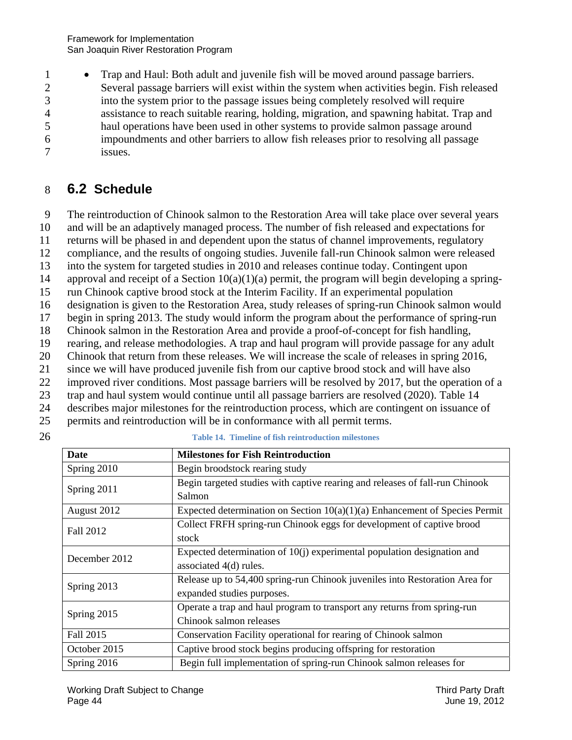1 • Trap and Haul: Both adult and juvenile fish will be moved around passage barriers. 2 Several passage barriers will exist within the system when activities begin. Fish released 3 into the system prior to the passage issues being completely resolved will require 4 assistance to reach suitable rearing, holding, migration, and spawning habitat. Trap and 5 haul operations have been used in other systems to provide salmon passage around 6 impoundments and other barriers to allow fish releases prior to resolving all passage 7 issues.

## 8 **6.2 Schedule**

9 The reintroduction of Chinook salmon to the Restoration Area will take place over several years

10 and will be an adaptively managed process. The number of fish released and expectations for

11 returns will be phased in and dependent upon the status of channel improvements, regulatory

12 compliance, and the results of ongoing studies. Juvenile fall-run Chinook salmon were released

13 into the system for targeted studies in 2010 and releases continue today. Contingent upon

14 approval and receipt of a Section 10(a)(1)(a) permit, the program will begin developing a spring-

15 run Chinook captive brood stock at the Interim Facility. If an experimental population

16 designation is given to the Restoration Area, study releases of spring-run Chinook salmon would

17 begin in spring 2013. The study would inform the program about the performance of spring-run

18 Chinook salmon in the Restoration Area and provide a proof-of-concept for fish handling,

19 rearing, and release methodologies. A trap and haul program will provide passage for any adult

20 Chinook that return from these releases. We will increase the scale of releases in spring 2016,

21 since we will have produced juvenile fish from our captive brood stock and will have also

22 improved river conditions. Most passage barriers will be resolved by 2017, but the operation of a

23 trap and haul system would continue until all passage barriers are resolved (2020). Table 14

24 describes major milestones for the reintroduction process, which are contingent on issuance of

- 25 permits and reintroduction will be in conformance with all permit terms.
- 

26 **Table 14. Timeline of fish reintroduction milestones** 

| <b>Date</b>   | <b>Milestones for Fish Reintroduction</b>                                     |
|---------------|-------------------------------------------------------------------------------|
| Spring 2010   | Begin broodstock rearing study                                                |
| Spring 2011   | Begin targeted studies with captive rearing and releases of fall-run Chinook  |
|               | Salmon                                                                        |
| August 2012   | Expected determination on Section $10(a)(1)(a)$ Enhancement of Species Permit |
| Fall 2012     | Collect FRFH spring-run Chinook eggs for development of captive brood         |
|               | stock                                                                         |
| December 2012 | Expected determination of $10(i)$ experimental population designation and     |
|               | associated 4(d) rules.                                                        |
| Spring 2013   | Release up to 54,400 spring-run Chinook juveniles into Restoration Area for   |
|               | expanded studies purposes.                                                    |
| Spring 2015   | Operate a trap and haul program to transport any returns from spring-run      |
|               | Chinook salmon releases                                                       |
| Fall 2015     | Conservation Facility operational for rearing of Chinook salmon               |
| October 2015  | Captive brood stock begins producing offspring for restoration                |
| Spring 2016   | Begin full implementation of spring-run Chinook salmon releases for           |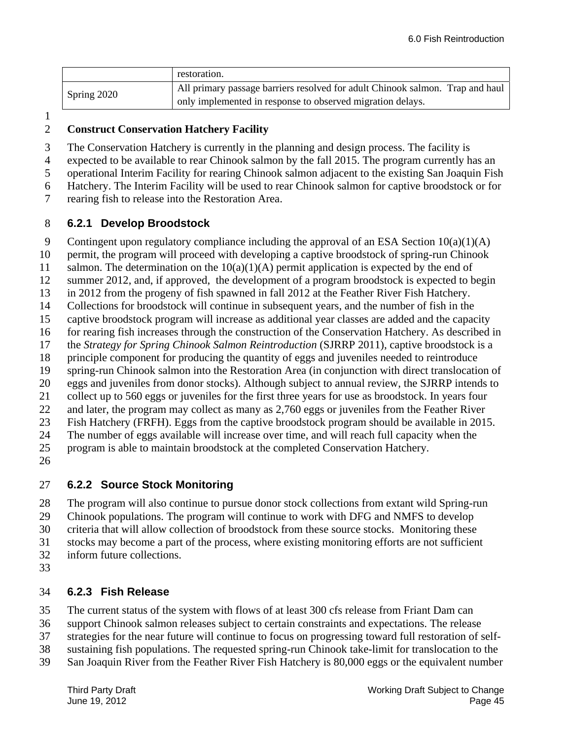|             | restoration.                                                                  |
|-------------|-------------------------------------------------------------------------------|
| Spring 2020 | All primary passage barriers resolved for adult Chinook salmon. Trap and haul |
|             | only implemented in response to observed migration delays.                    |

#### 2 **Construct Conservation Hatchery Facility**

3 The Conservation Hatchery is currently in the planning and design process. The facility is

4 expected to be available to rear Chinook salmon by the fall 2015. The program currently has an

5 operational Interim Facility for rearing Chinook salmon adjacent to the existing San Joaquin Fish

6 Hatchery. The Interim Facility will be used to rear Chinook salmon for captive broodstock or for

7 rearing fish to release into the Restoration Area.

#### 8 **6.2.1 Develop Broodstock**

9 Contingent upon regulatory compliance including the approval of an ESA Section 10(a)(1)(A)

10 permit, the program will proceed with developing a captive broodstock of spring-run Chinook

11 salmon. The determination on the  $10(a)(1)(A)$  permit application is expected by the end of

12 summer 2012, and, if approved, the development of a program broodstock is expected to begin

- 13 in 2012 from the progeny of fish spawned in fall 2012 at the Feather River Fish Hatchery.
- 14 Collections for broodstock will continue in subsequent years, and the number of fish in the
- 15 captive broodstock program will increase as additional year classes are added and the capacity

16 for rearing fish increases through the construction of the Conservation Hatchery. As described in

17 the *Strategy for Spring Chinook Salmon Reintroduction* (SJRRP 2011), captive broodstock is a

18 principle component for producing the quantity of eggs and juveniles needed to reintroduce

19 spring-run Chinook salmon into the Restoration Area (in conjunction with direct translocation of

20 eggs and juveniles from donor stocks). Although subject to annual review, the SJRRP intends to

21 collect up to 560 eggs or juveniles for the first three years for use as broodstock. In years four

22 and later, the program may collect as many as 2,760 eggs or juveniles from the Feather River

23 Fish Hatchery (FRFH). Eggs from the captive broodstock program should be available in 2015.

25 24 The number of eggs available will increase over time, and will reach full capacity when the program is able to maintain broodstock at the completed Conservation Hatchery.

26

### 27 **6.2.2 Source Stock Monitoring**

28 The program will also continue to pursue donor stock collections from extant wild Spring-run

29 Chinook populations. The program will continue to work with DFG and NMFS to develop

30 criteria that will allow collection of broodstock from these source stocks. Monitoring these

31 stocks may become a part of the process, where existing monitoring efforts are not sufficient

- 32 inform future collections.
- 33

### 34 **6.2.3 Fish Release**

35 The current status of the system with flows of at least 300 cfs release from Friant Dam can

36 support Chinook salmon releases subject to certain constraints and expectations. The release

37 strategies for the near future will continue to focus on progressing toward full restoration of self-

38 sustaining fish populations. The requested spring-run Chinook take-limit for translocation to the

39 San Joaquin River from the Feather River Fish Hatchery is 80,000 eggs or the equivalent number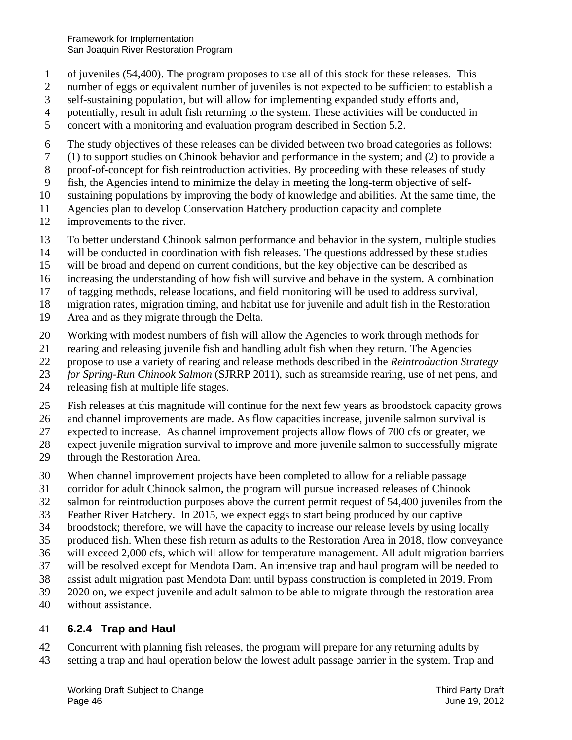- 1 of juveniles (54,400). The program proposes to use all of this stock for these releases. This
- 2 number of eggs or equivalent number of juveniles is not expected to be sufficient to establish a
- 3 self-sustaining population, but will allow for implementing expanded study efforts and,
- 4 potentially, result in adult fish returning to the system. These activities will be conducted in
- 5 concert with a monitoring and evaluation program described in Section 5.2.
- 6 The study objectives of these releases can be divided between two broad categories as follows:
- 7 (1) to support studies on Chinook behavior and performance in the system; and (2) to provide a
- 8 proof-of-concept for fish reintroduction activities. By proceeding with these releases of study
- 9 fish, the Agencies intend to minimize the delay in meeting the long-term objective of self-
- 10 sustaining populations by improving the body of knowledge and abilities. At the same time, the
- 11 Agencies plan to develop Conservation Hatchery production capacity and complete
- 12 improvements to the river.
- 13 To better understand Chinook salmon performance and behavior in the system, multiple studies
- 14 will be conducted in coordination with fish releases. The questions addressed by these studies
- 15 will be broad and depend on current conditions, but the key objective can be described as
- 16 increasing the understanding of how fish will survive and behave in the system. A combination
- 17 of tagging methods, release locations, and field monitoring will be used to address survival,
- 18 migration rates, migration timing, and habitat use for juvenile and adult fish in the Restoration
- 19 Area and as they migrate through the Delta.
- 20 Working with modest numbers of fish will allow the Agencies to work through methods for
- 21 rearing and releasing juvenile fish and handling adult fish when they return. The Agencies
- 22 propose to use a variety of rearing and release methods described in the *Reintroduction Strategy*
- 23 *for Spring-Run Chinook Salmon* (SJRRP 2011), such as streamside rearing, use of net pens, and
- 24 releasing fish at multiple life stages.
- 25 Fish releases at this magnitude will continue for the next few years as broodstock capacity grows
- 26 and channel improvements are made. As flow capacities increase, juvenile salmon survival is
- 27 expected to increase. As channel improvement projects allow flows of 700 cfs or greater, we
- 28 expect juvenile migration survival to improve and more juvenile salmon to successfully migrate
- 29 through the Restoration Area.
- 30 When channel improvement projects have been completed to allow for a reliable passage
- 31 corridor for adult Chinook salmon, the program will pursue increased releases of Chinook
- 32 salmon for reintroduction purposes above the current permit request of 54,400 juveniles from the
- 33 Feather River Hatchery. In 2015, we expect eggs to start being produced by our captive
- 34 broodstock; therefore, we will have the capacity to increase our release levels by using locally
- 35 produced fish. When these fish return as adults to the Restoration Area in 2018, flow conveyance
- 36 will exceed 2,000 cfs, which will allow for temperature management. All adult migration barriers
- 37 will be resolved except for Mendota Dam. An intensive trap and haul program will be needed to
- 38 assist adult migration past Mendota Dam until bypass construction is completed in 2019. From
- 39 2020 on, we expect juvenile and adult salmon to be able to migrate through the restoration area
- 40 without assistance.

### 41 **6.2.4 Trap and Haul**

- 42 Concurrent with planning fish releases, the program will prepare for any returning adults by
- 43 setting a trap and haul operation below the lowest adult passage barrier in the system. Trap and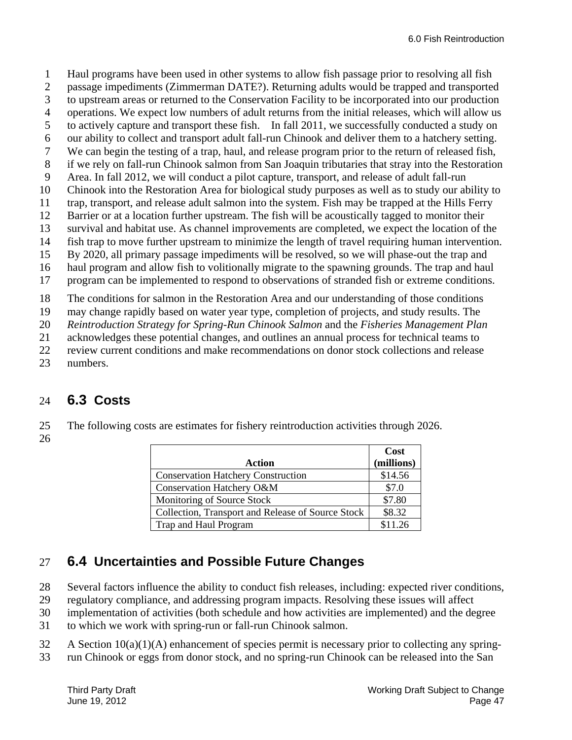1 Haul programs have been used in other systems to allow fish passage prior to resolving all fish 2 passage impediments (Zimmerman DATE?). Returning adults would be trapped and transported

- 3 to upstream areas or returned to the Conservation Facility to be incorporated into our production
- 4 operations. We expect low numbers of adult returns from the initial releases, which will allow us
- 5 to actively capture and transport these fish. In fall 2011, we successfully conducted a study on
- 6 our ability to collect and transport adult fall-run Chinook and deliver them to a hatchery setting.
- 7 We can begin the testing of a trap, haul, and release program prior to the return of released fish,
- 8 if we rely on fall-run Chinook salmon from San Joaquin tributaries that stray into the Restoration
- 9 Area. In fall 2012, we will conduct a pilot capture, transport, and release of adult fall-run
- 10 Chinook into the Restoration Area for biological study purposes as well as to study our ability to
- 11 trap, transport, and release adult salmon into the system. Fish may be trapped at the Hills Ferry
- 12 Barrier or at a location further upstream. The fish will be acoustically tagged to monitor their 13 survival and habitat use. As channel improvements are completed, we expect the location of the
- 14 fish trap to move further upstream to minimize the length of travel requiring human intervention.
- 15 By 2020, all primary passage impediments will be resolved, so we will phase-out the trap and
- 16 haul program and allow fish to volitionally migrate to the spawning grounds. The trap and haul
- 17 program can be implemented to respond to observations of stranded fish or extreme conditions.

18 The conditions for salmon in the Restoration Area and our understanding of those conditions

19 may change rapidly based on water year type, completion of projects, and study results. The

20 *Reintroduction Strategy for Spring-Run Chinook Salmon* and the *Fisheries Management Plan* 

- 21 acknowledges these potential changes, and outlines an annual process for technical teams to
- 22 review current conditions and make recommendations on donor stock collections and release
- 23 numbers.

## 24 **6.3 Costs**

- 25 The following costs are estimates for fishery reintroduction activities through 2026.
- 26

|                                                   | Cost       |
|---------------------------------------------------|------------|
| Action                                            | (millions) |
| <b>Conservation Hatchery Construction</b>         | \$14.56    |
| Conservation Hatchery O&M                         | \$7.0      |
| Monitoring of Source Stock                        | \$7.80     |
| Collection, Transport and Release of Source Stock | \$8.32     |
| Trap and Haul Program                             | \$11.26    |

## 27 **6.4 Uncertainties and Possible Future Changes**

- 28 Several factors influence the ability to conduct fish releases, including: expected river conditions,
- 29 regulatory compliance, and addressing program impacts. Resolving these issues will affect
- 30 implementation of activities (both schedule and how activities are implemented) and the degree
- 31 to which we work with spring-run or fall-run Chinook salmon.
- $32$  A Section  $10(a)(1)(A)$  enhancement of species permit is necessary prior to collecting any spring-
- 33 run Chinook or eggs from donor stock, and no spring-run Chinook can be released into the San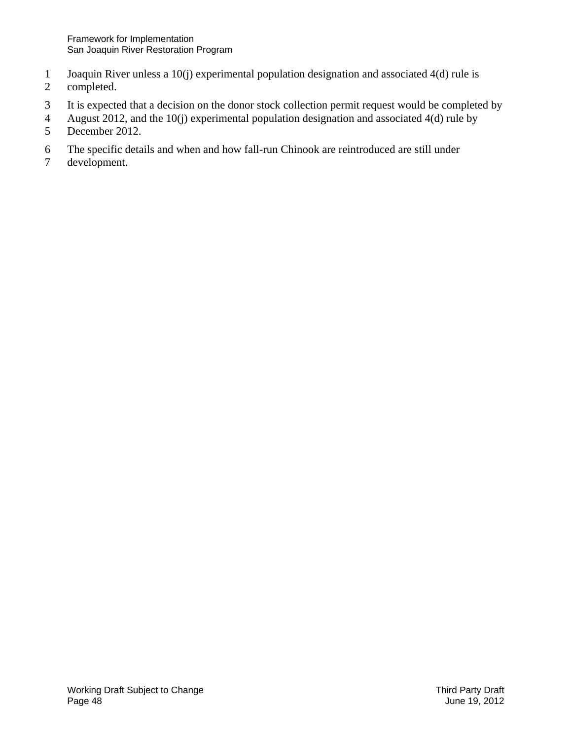- 1 Joaquin River unless a 10(j) experimental population designation and associated 4(d) rule is
- 2 completed.
- 3 It is expected that a decision on the donor stock collection permit request would be completed by
- 4 August 2012, and the 10(j) experimental population designation and associated 4(d) rule by<br>5 December 2012. December 2012.
- 6 The specific details and when and how fall-run Chinook are reintroduced are still under
- 7 development.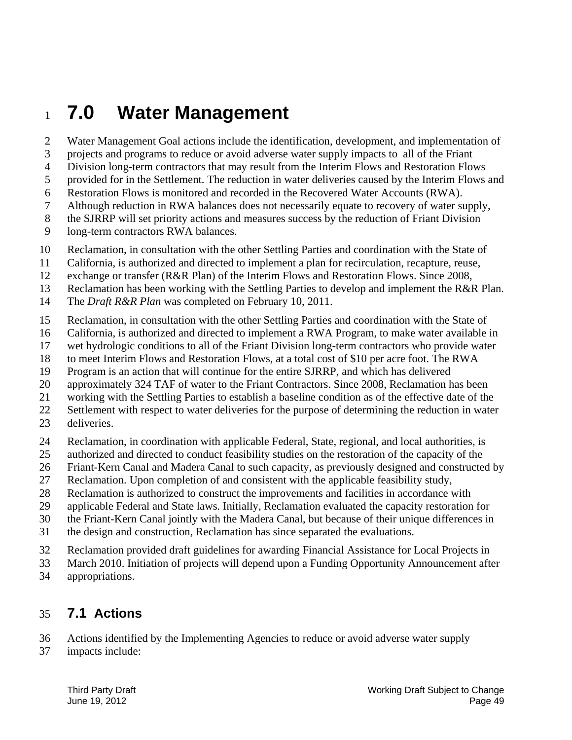## <sup>1</sup>**7.0 Water Management**

2 Water Management Goal actions include the identification, development, and implementation of

3 projects and programs to reduce or avoid adverse water supply impacts to all of the Friant

4 Division long-term contractors that may result from the Interim Flows and Restoration Flows

- 5 provided for in the Settlement. The reduction in water deliveries caused by the Interim Flows and
- 6 Restoration Flows is monitored and recorded in the Recovered Water Accounts (RWA).
- 7 Although reduction in RWA balances does not necessarily equate to recovery of water supply,
- 8 the SJRRP will set priority actions and measures success by the reduction of Friant Division
- 9 long-term contractors RWA balances.
- 10 Reclamation, in consultation with the other Settling Parties and coordination with the State of
- 11 California, is authorized and directed to implement a plan for recirculation, recapture, reuse,
- 12 exchange or transfer (R&R Plan) of the Interim Flows and Restoration Flows. Since 2008,
- 13 Reclamation has been working with the Settling Parties to develop and implement the R&R Plan.
- 14 The *Draft R&R Plan* was completed on February 10, 2011.
- 15 Reclamation, in consultation with the other Settling Parties and coordination with the State of
- 16 California, is authorized and directed to implement a RWA Program, to make water available in
- 17 wet hydrologic conditions to all of the Friant Division long-term contractors who provide water
- 18 to meet Interim Flows and Restoration Flows, at a total cost of \$10 per acre foot. The RWA
- 19 Program is an action that will continue for the entire SJRRP, and which has delivered
- 20 approximately 324 TAF of water to the Friant Contractors. Since 2008, Reclamation has been
- 21 working with the Settling Parties to establish a baseline condition as of the effective date of the
- 22 Settlement with respect to water deliveries for the purpose of determining the reduction in water
- 23 deliveries.
- 24 Reclamation, in coordination with applicable Federal, State, regional, and local authorities, is
- 25 authorized and directed to conduct feasibility studies on the restoration of the capacity of the
- 26 Friant-Kern Canal and Madera Canal to such capacity, as previously designed and constructed by
- 27 Reclamation. Upon completion of and consistent with the applicable feasibility study,
- 28 Reclamation is authorized to construct the improvements and facilities in accordance with
- 29 applicable Federal and State laws. Initially, Reclamation evaluated the capacity restoration for
- 30 the Friant-Kern Canal jointly with the Madera Canal, but because of their unique differences in
- 31 the design and construction, Reclamation has since separated the evaluations.
- 32 Reclamation provided draft guidelines for awarding Financial Assistance for Local Projects in
- 33 March 2010. Initiation of projects will depend upon a Funding Opportunity Announcement after
- 34 appropriations.

#### 35 **7.1 Actions**

- 36 Actions identified by the Implementing Agencies to reduce or avoid adverse water supply
- 37 impacts include: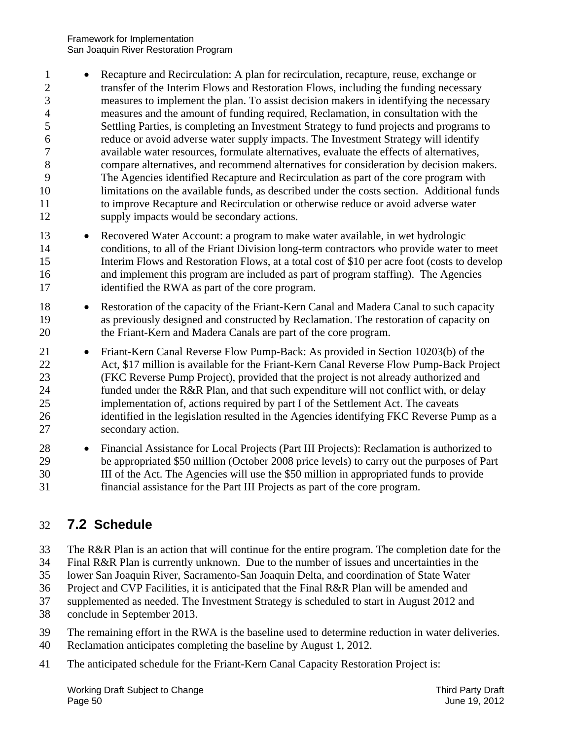- 5 10 1 Recapture and Recirculation: A plan for recirculation, recapture, reuse, exchange or 2 transfer of the Interim Flows and Restoration Flows, including the funding necessary 3 measures to implement the plan. To assist decision makers in identifying the necessary 4 measures and the amount of funding required, Reclamation, in consultation with the Settling Parties, is completing an Investment Strategy to fund projects and programs to 6 reduce or avoid adverse water supply impacts. The Investment Strategy will identify 7 available water resources, formulate alternatives, evaluate the effects of alternatives, 8 compare alternatives, and recommend alternatives for consideration by decision makers. 9 The Agencies identified Recapture and Recirculation as part of the core program with limitations on the available funds, as described under the costs section. Additional funds 11 to improve Recapture and Recirculation or otherwise reduce or avoid adverse water 12 supply impacts would be secondary actions.
- 15 13 Recovered Water Account: a program to make water available, in wet hydrologic 14 conditions, to all of the Friant Division long-term contractors who provide water to meet Interim Flows and Restoration Flows, at a total cost of \$10 per acre foot (costs to develop 16 and implement this program are included as part of program staffing). The Agencies 17 identified the RWA as part of the core program.
- 20 18 • Restoration of the capacity of the Friant-Kern Canal and Madera Canal to such capacity 19 as previously designed and constructed by Reclamation. The restoration of capacity on the Friant-Kern and Madera Canals are part of the core program.
- 25 21 • Friant-Kern Canal Reverse Flow Pump-Back: As provided in Section 10203(b) of the 22 Act, \$17 million is available for the Friant-Kern Canal Reverse Flow Pump-Back Project 23 (FKC Reverse Pump Project), provided that the project is not already authorized and 24 funded under the R&R Plan, and that such expenditure will not conflict with, or delay implementation of, actions required by part I of the Settlement Act. The caveats 26 identified in the legislation resulted in the Agencies identifying FKC Reverse Pump as a 27 secondary action.
- 30 28 Financial Assistance for Local Projects (Part III Projects): Reclamation is authorized to 29 be appropriated \$50 million (October 2008 price levels) to carry out the purposes of Part III of the Act. The Agencies will use the \$50 million in appropriated funds to provide 31 financial assistance for the Part III Projects as part of the core program.

### 32 **7.2 Schedule**

- 33 The R&R Plan is an action that will continue for the entire program. The completion date for the
- 34 Final R&R Plan is currently unknown. Due to the number of issues and uncertainties in the
- 35 lower San Joaquin River, Sacramento-San Joaquin Delta, and coordination of State Water
- 36 Project and CVP Facilities, it is anticipated that the Final R&R Plan will be amended and
- 37 supplemented as needed. The Investment Strategy is scheduled to start in August 2012 and
- 38 conclude in September 2013.
- 39 The remaining effort in the RWA is the baseline used to determine reduction in water deliveries.
- 40 Reclamation anticipates completing the baseline by August 1, 2012.
- 41 The anticipated schedule for the Friant-Kern Canal Capacity Restoration Project is: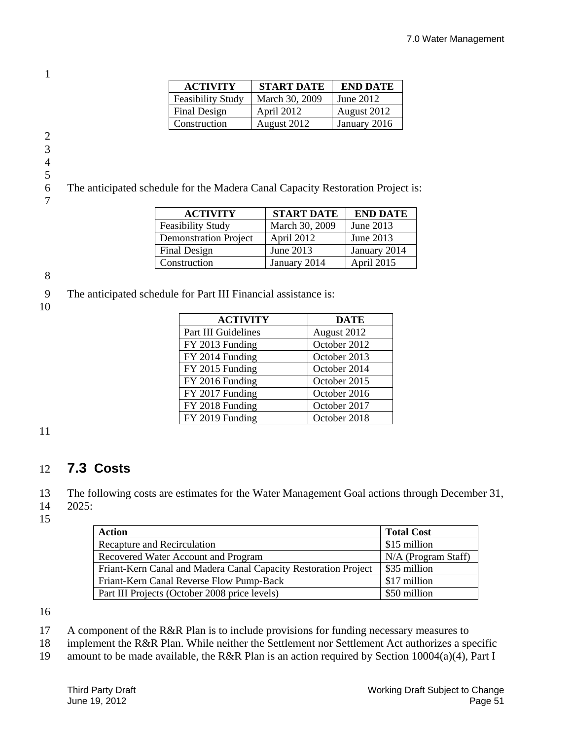| <b>ACTIVITY</b>          | <b>START DATE</b> | <b>END DATE</b> |
|--------------------------|-------------------|-----------------|
| <b>Feasibility Study</b> | March 30, 2009    | June 2012       |
| Final Design             | April 2012        | August 2012     |
| Construction             | August 2012       | January 2016    |

1

4

5

6 The anticipated schedule for the Madera Canal Capacity Restoration Project is: 7

| <b>ACTIVITY</b>              | <b>START DATE</b> | <b>END DATE</b> |
|------------------------------|-------------------|-----------------|
| <b>Feasibility Study</b>     | March 30, 2009    | June 2013       |
| <b>Demonstration Project</b> | April 2012        | June 2013       |
| Final Design                 | June 2013         | January 2014    |
| Construction                 | January 2014      | April 2015      |

8

9 The anticipated schedule for Part III Financial assistance is:

10

| <b>ACTIVITY</b>     | <b>DATE</b>  |
|---------------------|--------------|
| Part III Guidelines | August 2012  |
| FY 2013 Funding     | October 2012 |
| FY 2014 Funding     | October 2013 |
| FY 2015 Funding     | October 2014 |
| FY 2016 Funding     | October 2015 |
| FY 2017 Funding     | October 2016 |
| FY 2018 Funding     | October 2017 |
| FY 2019 Funding     | October 2018 |
|                     |              |

11

### 12 **7.3 Costs**

13 The following costs are estimates for the Water Management Goal actions through December 31, 14 2025:

15

| <b>Action</b>                                                   | <b>Total Cost</b>     |
|-----------------------------------------------------------------|-----------------------|
| Recapture and Recirculation                                     | \$15 million          |
| Recovered Water Account and Program                             | $N/A$ (Program Staff) |
| Friant-Kern Canal and Madera Canal Capacity Restoration Project | \$35 million          |
| Friant-Kern Canal Reverse Flow Pump-Back                        | \$17 million          |
| Part III Projects (October 2008 price levels)                   | \$50 million          |

16

17 A component of the R&R Plan is to include provisions for funding necessary measures to

18 implement the R&R Plan. While neither the Settlement nor Settlement Act authorizes a specific

19 amount to be made available, the R&R Plan is an action required by Section 10004(a)(4), Part I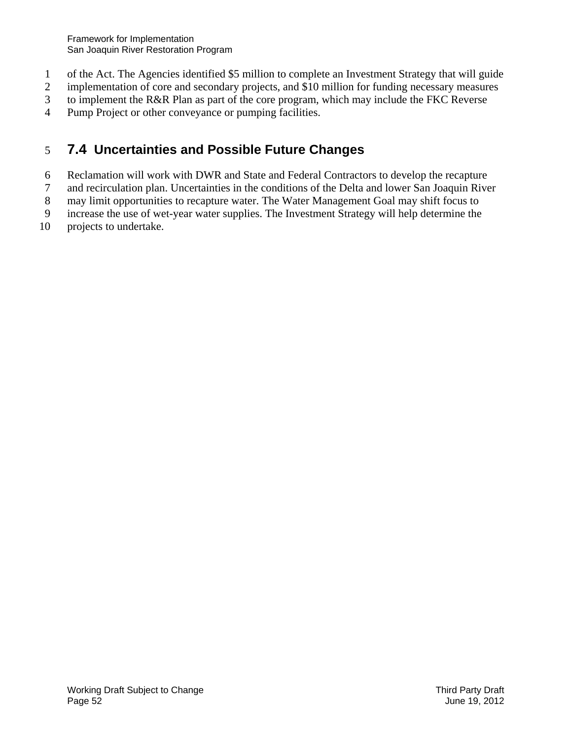- 1 of the Act. The Agencies identified \$5 million to complete an Investment Strategy that will guide
- 2 implementation of core and secondary projects, and \$10 million for funding necessary measures
- 3 to implement the R&R Plan as part of the core program, which may include the FKC Reverse
- 4 Pump Project or other conveyance or pumping facilities.

### 5 **7.4 Uncertainties and Possible Future Changes**

- 6 Reclamation will work with DWR and State and Federal Contractors to develop the recapture
- 7 and recirculation plan. Uncertainties in the conditions of the Delta and lower San Joaquin River
- 8 may limit opportunities to recapture water. The Water Management Goal may shift focus to
- 9 increase the use of wet-year water supplies. The Investment Strategy will help determine the
- 10 projects to undertake.